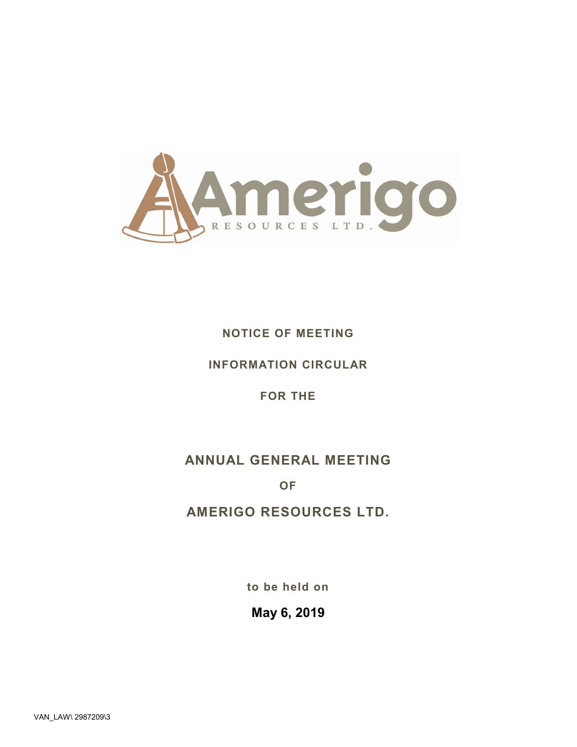

# **NOTICE OF MEETING**

# **INFORMATION CIRCULAR**

## **FOR THE**

# **ANNUAL GENERAL MEETING**

## **OF**

# **AMERIGO RESOURCES LTD.**

**to be held on**

# **May 6, 2019**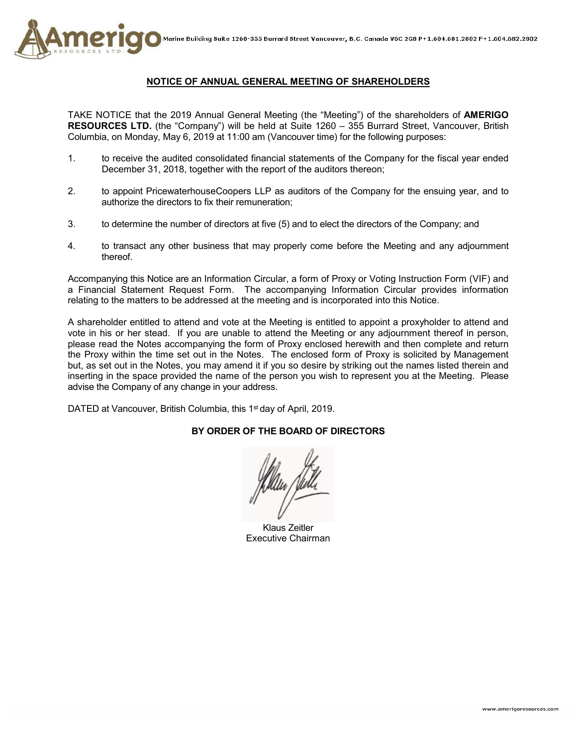

## **NOTICE OF ANNUAL GENERAL MEETING OF SHAREHOLDERS**

TAKE NOTICE that the 2019 Annual General Meeting (the "Meeting") of the shareholders of **AMERIGO RESOURCES LTD.** (the "Company") will be held at Suite 1260 – 355 Burrard Street, Vancouver, British Columbia, on Monday, May 6, 2019 at 11:00 am (Vancouver time) for the following purposes:

- 1. to receive the audited consolidated financial statements of the Company for the fiscal year ended December 31, 2018, together with the report of the auditors thereon;
- 2. to appoint PricewaterhouseCoopers LLP as auditors of the Company for the ensuing year, and to authorize the directors to fix their remuneration;
- 3. to determine the number of directors at five (5) and to elect the directors of the Company; and
- 4. to transact any other business that may properly come before the Meeting and any adjournment thereof.

Accompanying this Notice are an Information Circular, a form of Proxy or Voting Instruction Form (VIF) and a Financial Statement Request Form. The accompanying Information Circular provides information relating to the matters to be addressed at the meeting and is incorporated into this Notice.

A shareholder entitled to attend and vote at the Meeting is entitled to appoint a proxyholder to attend and vote in his or her stead. If you are unable to attend the Meeting or any adjournment thereof in person, please read the Notes accompanying the form of Proxy enclosed herewith and then complete and return the Proxy within the time set out in the Notes. The enclosed form of Proxy is solicited by Management but, as set out in the Notes, you may amend it if you so desire by striking out the names listed therein and inserting in the space provided the name of the person you wish to represent you at the Meeting. Please advise the Company of any change in your address.

DATED at Vancouver, British Columbia, this 1<sup>st</sup> day of April, 2019.

## **BY ORDER OF THE BOARD OF DIRECTORS**

Klaus Zeitler Executive Chairman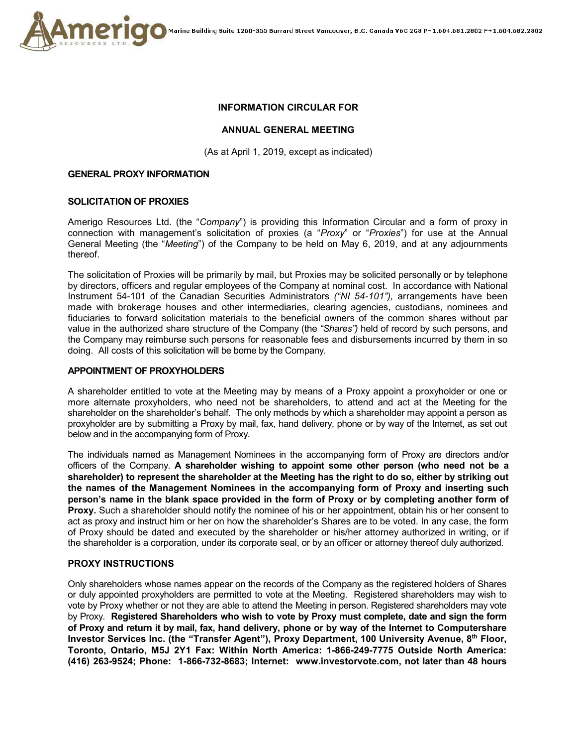

## **INFORMATION CIRCULAR FOR**

## **ANNUAL GENERAL MEETING**

(As at April 1, 2019, except as indicated)

#### **GENERAL PROXY INFORMATION**

#### **SOLICITATION OF PROXIES**

Amerigo Resources Ltd. (the "*Company*") is providing this Information Circular and a form of proxy in connection with management's solicitation of proxies (a "*Proxy*" or "*Proxies*") for use at the Annual General Meeting (the "*Meeting*") of the Company to be held on May 6, 2019, and at any adjournments thereof.

The solicitation of Proxies will be primarily by mail, but Proxies may be solicited personally or by telephone by directors, officers and regular employees of the Company at nominal cost. In accordance with National Instrument 54-101 of the Canadian Securities Administrators *("NI 54-101"),* arrangements have been made with brokerage houses and other intermediaries, clearing agencies, custodians, nominees and fiduciaries to forward solicitation materials to the beneficial owners of the common shares without par value in the authorized share structure of the Company (the *"Shares")* held of record by such persons, and the Company may reimburse such persons for reasonable fees and disbursements incurred by them in so doing. All costs of this solicitation will be borne by the Company.

#### **APPOINTMENT OF PROXYHOLDERS**

A shareholder entitled to vote at the Meeting may by means of a Proxy appoint a proxyholder or one or more alternate proxyholders, who need not be shareholders, to attend and act at the Meeting for the shareholder on the shareholder's behalf. The only methods by which a shareholder may appoint a person as proxyholder are by submitting a Proxy by mail, fax, hand delivery, phone or by way of the Internet, as set out below and in the accompanying form of Proxy.

The individuals named as Management Nominees in the accompanying form of Proxy are directors and/or officers of the Company. **A shareholder wishing to appoint some other person (who need not be a shareholder) to represent the shareholder at the Meeting has the right to do so, either by striking out the names of the Management Nominees in the accompanying form of Proxy and inserting such person's name in the blank space provided in the form of Proxy or by completing another form of Proxy.** Such a shareholder should notify the nominee of his or her appointment, obtain his or her consent to act as proxy and instruct him or her on how the shareholder's Shares are to be voted. In any case, the form of Proxy should be dated and executed by the shareholder or his/her attorney authorized in writing, or if the shareholder is a corporation, under its corporate seal, or by an officer or attorney thereof duly authorized.

## **PROXY INSTRUCTIONS**

Only shareholders whose names appear on the records of the Company as the registered holders of Shares or duly appointed proxyholders are permitted to vote at the Meeting. Registered shareholders may wish to vote by Proxy whether or not they are able to attend the Meeting in person. Registered shareholders may vote by Proxy. **Registered Shareholders who wish to vote by Proxy must complete, date and sign the form of Proxy and return it by mail, fax, hand delivery, phone or by way of the Internet to Computershare Investor Services Inc. (the "Transfer Agent"), Proxy Department, 100 University Avenue, 8th Floor, Toronto, Ontario, M5J 2Y1 Fax: Within North America: 1-866-249-7775 Outside North America: (416) 263-9524; Phone: 1-866-732-8683; Internet: www.investorvote.com, not later than 48 hours**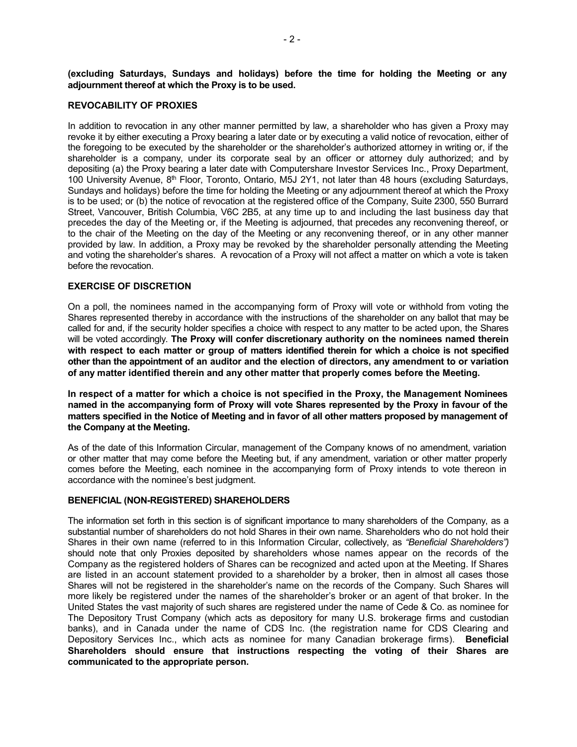**(excluding Saturdays, Sundays and holidays) before the time for holding the Meeting or any adjournment thereof at which the Proxy is to be used.** 

#### **REVOCABILITY OF PROXIES**

In addition to revocation in any other manner permitted by law, a shareholder who has given a Proxy may revoke it by either executing a Proxy bearing a later date or by executing a valid notice of revocation, either of the foregoing to be executed by the shareholder or the shareholder's authorized attorney in writing or, if the shareholder is a company, under its corporate seal by an officer or attorney duly authorized; and by depositing (a) the Proxy bearing a later date with Computershare Investor Services Inc., Proxy Department, 100 University Avenue,  $8<sup>th</sup>$  Floor, Toronto, Ontario, M5J 2Y1, not later than 48 hours (excluding Saturdays, Sundays and holidays) before the time for holding the Meeting or any adjournment thereof at which the Proxy is to be used; or (b) the notice of revocation at the registered office of the Company, Suite 2300, 550 Burrard Street, Vancouver, British Columbia, V6C 2B5, at any time up to and including the last business day that precedes the day of the Meeting or, if the Meeting is adjourned, that precedes any reconvening thereof, or to the chair of the Meeting on the day of the Meeting or any reconvening thereof, or in any other manner provided by law. In addition, a Proxy may be revoked by the shareholder personally attending the Meeting and voting the shareholder's shares. A revocation of a Proxy will not affect a matter on which a vote is taken before the revocation.

## **EXERCISE OF DISCRETION**

On a poll, the nominees named in the accompanying form of Proxy will vote or withhold from voting the Shares represented thereby in accordance with the instructions of the shareholder on any ballot that may be called for and, if the security holder specifies a choice with respect to any matter to be acted upon, the Shares will be voted accordingly. **The Proxy will confer discretionary authority on the nominees named therein with respect to each matter or group of matters identified therein for which a choice is not specified other than the appointment of an auditor and the election of directors, any amendment to or variation of any matter identified therein and any other matter that properly comes before the Meeting.** 

**In respect of a matter for which a choice is not specified in the Proxy, the Management Nominees named in the accompanying form of Proxy will vote Shares represented by the Proxy in favour of the matters specified in the Notice of Meeting and in favor of all other matters proposed by management of the Company at the Meeting.**

As of the date of this Information Circular, management of the Company knows of no amendment, variation or other matter that may come before the Meeting but, if any amendment, variation or other matter properly comes before the Meeting, each nominee in the accompanying form of Proxy intends to vote thereon in accordance with the nominee's best judgment.

#### **BENEFICIAL (NON-REGISTERED) SHAREHOLDERS**

The information set forth in this section is of significant importance to many shareholders of the Company, as a substantial number of shareholders do not hold Shares in their own name. Shareholders who do not hold their Shares in their own name (referred to in this Information Circular, collectively, as *"Beneficial Shareholders")*  should note that only Proxies deposited by shareholders whose names appear on the records of the Company as the registered holders of Shares can be recognized and acted upon at the Meeting. If Shares are listed in an account statement provided to a shareholder by a broker, then in almost all cases those Shares will not be registered in the shareholder's name on the records of the Company. Such Shares will more likely be registered under the names of the shareholder's broker or an agent of that broker. In the United States the vast majority of such shares are registered under the name of Cede & Co. as nominee for The Depository Trust Company (which acts as depository for many U.S. brokerage firms and custodian banks), and in Canada under the name of CDS Inc. (the registration name for CDS Clearing and Depository Services Inc., which acts as nominee for many Canadian brokerage firms). **Beneficial Shareholders should ensure that instructions respecting the voting of their Shares are communicated to the appropriate person.**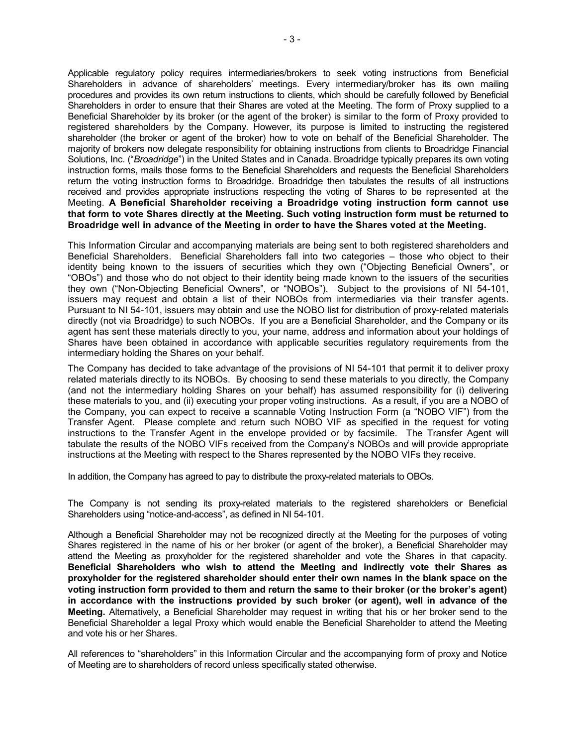Applicable regulatory policy requires intermediaries/brokers to seek voting instructions from Beneficial Shareholders in advance of shareholders' meetings. Every intermediary/broker has its own mailing procedures and provides its own return instructions to clients, which should be carefully followed by Beneficial Shareholders in order to ensure that their Shares are voted at the Meeting. The form of Proxy supplied to a Beneficial Shareholder by its broker (or the agent of the broker) is similar to the form of Proxy provided to registered shareholders by the Company. However, its purpose is limited to instructing the registered shareholder (the broker or agent of the broker) how to vote on behalf of the Beneficial Shareholder. The majority of brokers now delegate responsibility for obtaining instructions from clients to Broadridge Financial Solutions, Inc. ("*Broadridge*") in the United States and in Canada. Broadridge typically prepares its own voting instruction forms, mails those forms to the Beneficial Shareholders and requests the Beneficial Shareholders return the voting instruction forms to Broadridge. Broadridge then tabulates the results of all instructions received and provides appropriate instructions respecting the voting of Shares to be represented at the Meeting. **A Beneficial Shareholder receiving a Broadridge voting instruction form cannot use that form to vote Shares directly at the Meeting. Such voting instruction form must be returned to Broadridge well in advance of the Meeting in order to have the Shares voted at the Meeting.**

This Information Circular and accompanying materials are being sent to both registered shareholders and Beneficial Shareholders. Beneficial Shareholders fall into two categories – those who object to their identity being known to the issuers of securities which they own ("Objecting Beneficial Owners", or "OBOs") and those who do not object to their identity being made known to the issuers of the securities they own ("Non-Objecting Beneficial Owners", or "NOBOs"). Subject to the provisions of NI 54-101, issuers may request and obtain a list of their NOBOs from intermediaries via their transfer agents. Pursuant to NI 54-101, issuers may obtain and use the NOBO list for distribution of proxy-related materials directly (not via Broadridge) to such NOBOs. If you are a Beneficial Shareholder, and the Company or its agent has sent these materials directly to you, your name, address and information about your holdings of Shares have been obtained in accordance with applicable securities regulatory requirements from the intermediary holding the Shares on your behalf.

The Company has decided to take advantage of the provisions of NI 54-101 that permit it to deliver proxy related materials directly to its NOBOs. By choosing to send these materials to you directly, the Company (and not the intermediary holding Shares on your behalf) has assumed responsibility for (i) delivering these materials to you, and (ii) executing your proper voting instructions. As a result, if you are a NOBO of the Company, you can expect to receive a scannable Voting Instruction Form (a "NOBO VIF") from the Transfer Agent. Please complete and return such NOBO VIF as specified in the request for voting instructions to the Transfer Agent in the envelope provided or by facsimile. The Transfer Agent will tabulate the results of the NOBO VIFs received from the Company's NOBOs and will provide appropriate instructions at the Meeting with respect to the Shares represented by the NOBO VIFs they receive.

In addition, the Company has agreed to pay to distribute the proxy-related materials to OBOs.

The Company is not sending its proxy-related materials to the registered shareholders or Beneficial Shareholders using "notice-and-access", as defined in NI 54-101.

Although a Beneficial Shareholder may not be recognized directly at the Meeting for the purposes of voting Shares registered in the name of his or her broker (or agent of the broker), a Beneficial Shareholder may attend the Meeting as proxyholder for the registered shareholder and vote the Shares in that capacity. **Beneficial Shareholders who wish to attend the Meeting and indirectly vote their Shares as proxyholder for the registered shareholder should enter their own names in the blank space on the voting instruction form provided to them and return the same to their broker (or the broker's agent) in accordance with the instructions provided by such broker (or agent), well in advance of the Meeting.** Alternatively, a Beneficial Shareholder may request in writing that his or her broker send to the Beneficial Shareholder a legal Proxy which would enable the Beneficial Shareholder to attend the Meeting and vote his or her Shares.

All references to "shareholders" in this Information Circular and the accompanying form of proxy and Notice of Meeting are to shareholders of record unless specifically stated otherwise.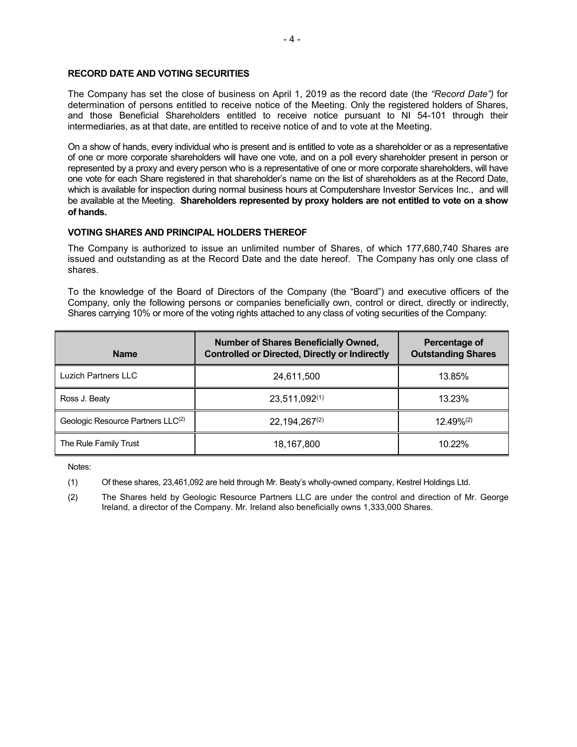## **RECORD DATE AND VOTING SECURITIES**

The Company has set the close of business on April 1, 2019 as the record date (the *"Record Date")* for determination of persons entitled to receive notice of the Meeting. Only the registered holders of Shares, and those Beneficial Shareholders entitled to receive notice pursuant to NI 54-101 through their intermediaries, as at that date, are entitled to receive notice of and to vote at the Meeting.

On a show of hands, every individual who is present and is entitled to vote as a shareholder or as a representative of one or more corporate shareholders will have one vote, and on a poll every shareholder present in person or represented by a proxy and every person who is a representative of one or more corporate shareholders, will have one vote for each Share registered in that shareholder's name on the list of shareholders as at the Record Date, which is available for inspection during normal business hours at Computershare Investor Services Inc., and will be available at the Meeting. **Shareholders represented by proxy holders are not entitled to vote on a show of hands.**

## **VOTING SHARES AND PRINCIPAL HOLDERS THEREOF**

The Company is authorized to issue an unlimited number of Shares, of which 177,680,740 Shares are issued and outstanding as at the Record Date and the date hereof. The Company has only one class of shares.

To the knowledge of the Board of Directors of the Company (the "Board") and executive officers of the Company, only the following persons or companies beneficially own, control or direct, directly or indirectly, Shares carrying 10% or more of the voting rights attached to any class of voting securities of the Company:

| <b>Name</b>                       | <b>Number of Shares Beneficially Owned,</b><br><b>Controlled or Directed, Directly or Indirectly</b> | Percentage of<br><b>Outstanding Shares</b> |
|-----------------------------------|------------------------------------------------------------------------------------------------------|--------------------------------------------|
| <b>Luzich Partners LLC</b>        | 24,611,500                                                                                           | 13.85%                                     |
| Ross J. Beaty                     | 23,511,092(1)                                                                                        | 13.23%                                     |
| Geologic Resource Partners LLC(2) | 22, 194, 267(2)                                                                                      | $12.49\%^{(2)}$                            |
| The Rule Family Trust             | 18,167,800                                                                                           | 10.22%                                     |

Notes:

(1) Of these shares, 23,461,092 are held through Mr. Beaty's wholly-owned company, Kestrel Holdings Ltd.

(2) The Shares held by Geologic Resource Partners LLC are under the control and direction of Mr. George Ireland, a director of the Company. Mr. Ireland also beneficially owns 1,333,000 Shares.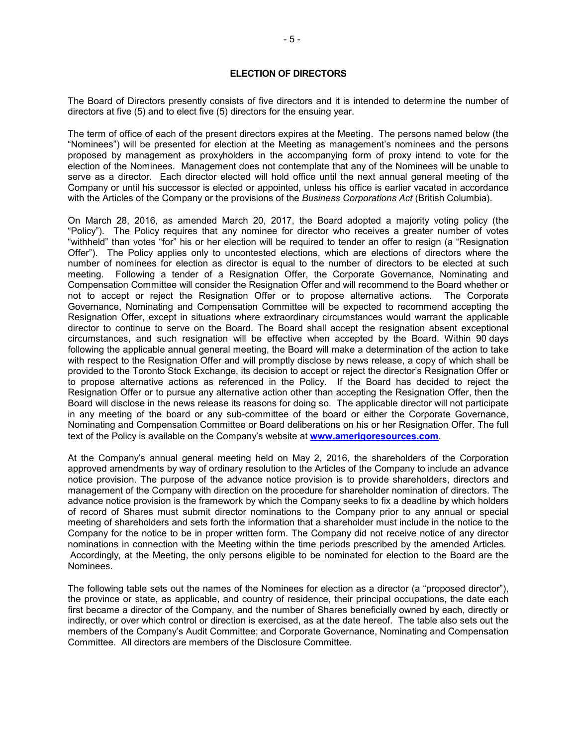## **ELECTION OF DIRECTORS**

The Board of Directors presently consists of five directors and it is intended to determine the number of directors at five (5) and to elect five (5) directors for the ensuing year.

The term of office of each of the present directors expires at the Meeting. The persons named below (the "Nominees") will be presented for election at the Meeting as management's nominees and the persons proposed by management as proxyholders in the accompanying form of proxy intend to vote for the election of the Nominees. Management does not contemplate that any of the Nominees will be unable to serve as a director. Each director elected will hold office until the next annual general meeting of the Company or until his successor is elected or appointed, unless his office is earlier vacated in accordance with the Articles of the Company or the provisions of the *Business Corporations Act* (British Columbia).

On March 28, 2016, as amended March 20, 2017, the Board adopted a majority voting policy (the "Policy"). The Policy requires that any nominee for director who receives a greater number of votes "withheld" than votes "for" his or her election will be required to tender an offer to resign (a "Resignation Offer"). The Policy applies only to uncontested elections, which are elections of directors where the number of nominees for election as director is equal to the number of directors to be elected at such meeting. Following a tender of a Resignation Offer, the Corporate Governance, Nominating and Compensation Committee will consider the Resignation Offer and will recommend to the Board whether or not to accept or reject the Resignation Offer or to propose alternative actions. The Corporate Governance, Nominating and Compensation Committee will be expected to recommend accepting the Resignation Offer, except in situations where extraordinary circumstances would warrant the applicable director to continue to serve on the Board. The Board shall accept the resignation absent exceptional circumstances, and such resignation will be effective when accepted by the Board. Within 90 days following the applicable annual general meeting, the Board will make a determination of the action to take with respect to the Resignation Offer and will promptly disclose by news release, a copy of which shall be provided to the Toronto Stock Exchange, its decision to accept or reject the director's Resignation Offer or to propose alternative actions as referenced in the Policy. If the Board has decided to reject the Resignation Offer or to pursue any alternative action other than accepting the Resignation Offer, then the Board will disclose in the news release its reasons for doing so. The applicable director will not participate in any meeting of the board or any sub-committee of the board or either the Corporate Governance, Nominating and Compensation Committee or Board deliberations on his or her Resignation Offer. The full text of the Policy is available on the Company's website at **[www.amerigoresources.com](http://www.amerigoresources.com/)**.

At the Company's annual general meeting held on May 2, 2016, the shareholders of the Corporation approved amendments by way of ordinary resolution to the Articles of the Company to include an advance notice provision. The purpose of the advance notice provision is to provide shareholders, directors and management of the Company with direction on the procedure for shareholder nomination of directors. The advance notice provision is the framework by which the Company seeks to fix a deadline by which holders of record of Shares must submit director nominations to the Company prior to any annual or special meeting of shareholders and sets forth the information that a shareholder must include in the notice to the Company for the notice to be in proper written form. The Company did not receive notice of any director nominations in connection with the Meeting within the time periods prescribed by the amended Articles. Accordingly, at the Meeting, the only persons eligible to be nominated for election to the Board are the Nominees.

The following table sets out the names of the Nominees for election as a director (a "proposed director"), the province or state, as applicable, and country of residence, their principal occupations, the date each first became a director of the Company, and the number of Shares beneficially owned by each, directly or indirectly, or over which control or direction is exercised, as at the date hereof. The table also sets out the members of the Company's Audit Committee; and Corporate Governance, Nominating and Compensation Committee. All directors are members of the Disclosure Committee.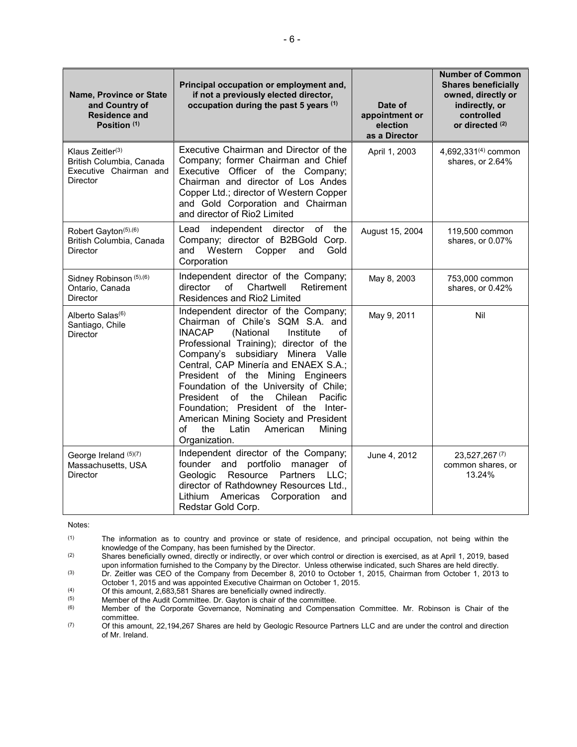| Name, Province or State<br>and Country of<br><b>Residence and</b><br>Position (1)              | Principal occupation or employment and,<br>if not a previously elected director,<br>occupation during the past 5 years (1)                                                                                                                                                                                                                                                                                                                                                                                              | Date of<br>appointment or<br>election<br>as a Director | <b>Number of Common</b><br><b>Shares beneficially</b><br>owned, directly or<br>indirectly, or<br>controlled<br>or directed <sup>(2)</sup> |
|------------------------------------------------------------------------------------------------|-------------------------------------------------------------------------------------------------------------------------------------------------------------------------------------------------------------------------------------------------------------------------------------------------------------------------------------------------------------------------------------------------------------------------------------------------------------------------------------------------------------------------|--------------------------------------------------------|-------------------------------------------------------------------------------------------------------------------------------------------|
| Klaus Zeitler <sup>(3)</sup><br>British Columbia, Canada<br>Executive Chairman and<br>Director | Executive Chairman and Director of the<br>Company; former Chairman and Chief<br>Executive Officer of the Company;<br>Chairman and director of Los Andes<br>Copper Ltd.; director of Western Copper<br>and Gold Corporation and Chairman<br>and director of Rio2 Limited                                                                                                                                                                                                                                                 | April 1, 2003                                          | 4,692,331 <sup>(4)</sup> common<br>shares, or 2.64%                                                                                       |
| Robert Gayton <sup>(5),(6)</sup><br>British Columbia, Canada<br><b>Director</b>                | independent director of the<br>Lead<br>Company; director of B2BGold Corp.<br>Western Copper<br>and<br>and<br>Gold<br>Corporation                                                                                                                                                                                                                                                                                                                                                                                        | August 15, 2004                                        | 119,500 common<br>shares, or 0.07%                                                                                                        |
| Sidney Robinson (5), (6)<br>Ontario, Canada<br><b>Director</b>                                 | Independent director of the Company;<br>Chartwell<br>director<br>of<br>Retirement<br>Residences and Rio2 Limited                                                                                                                                                                                                                                                                                                                                                                                                        | May 8, 2003                                            | 753,000 common<br>shares, or 0.42%                                                                                                        |
| Alberto Salas <sup>(6)</sup><br>Santiago, Chile<br>Director                                    | Independent director of the Company;<br>Chairman of Chile's SQM S.A. and<br><b>INACAP</b><br>(National<br>Institute<br>οf<br>Professional Training); director of the<br>Company's subsidiary Minera Valle<br>Central, CAP Minería and ENAEX S.A.;<br>President of the Mining Engineers<br>Foundation of the University of Chile;<br>President of the<br>Chilean<br>Pacific<br>Foundation; President of the Inter-<br>American Mining Society and President<br>the<br>of<br>Latin<br>American<br>Mining<br>Organization. | May 9, 2011                                            | Nil                                                                                                                                       |
| George Ireland (5)(7)<br>Massachusetts, USA<br><b>Director</b>                                 | Independent director of the Company;<br>portfolio<br>manager of<br>founder and<br>Resource Partners LLC;<br>Geologic<br>director of Rathdowney Resources Ltd.,<br>Corporation<br>Lithium<br>Americas<br>and<br>Redstar Gold Corp.                                                                                                                                                                                                                                                                                       | June 4, 2012                                           | 23,527,267(7)<br>common shares, or<br>13.24%                                                                                              |

Notes:

(1) The information as to country and province or state of residence, and principal occupation, not being within the knowledge of the Company, has been furnished by the Director.

(2) Shares beneficially owned, directly or indirectly, or over which control or direction is exercised, as at April 1, 2019, based upon information furnished to the Company by the Director. Unless otherwise indicated, such Shares are held directly. (3) Dr. Zeitler was CEO of the Company from December 8, 2010 to October 1, 2015, Chairman from October 1, 2013 to

October 1, 2015 and was appointed Executive Chairman on October 1, 2015.

(4) Of this amount, 2,683,581 Shares are beneficially owned indirectly.<br>
(5) Member of the Audit Committee Dr. Gayton is chair of the committee

 $(5)$  Member of the Audit Committee. Dr. Gayton is chair of the committee.<br> $(6)$  Member of the Corporate Governance. Nominating and Compens

Member of the Corporate Governance, Nominating and Compensation Committee. Mr. Robinson is Chair of the committee.

(7) Of this amount, 22,194,267 Shares are held by Geologic Resource Partners LLC and are under the control and direction of Mr. Ireland.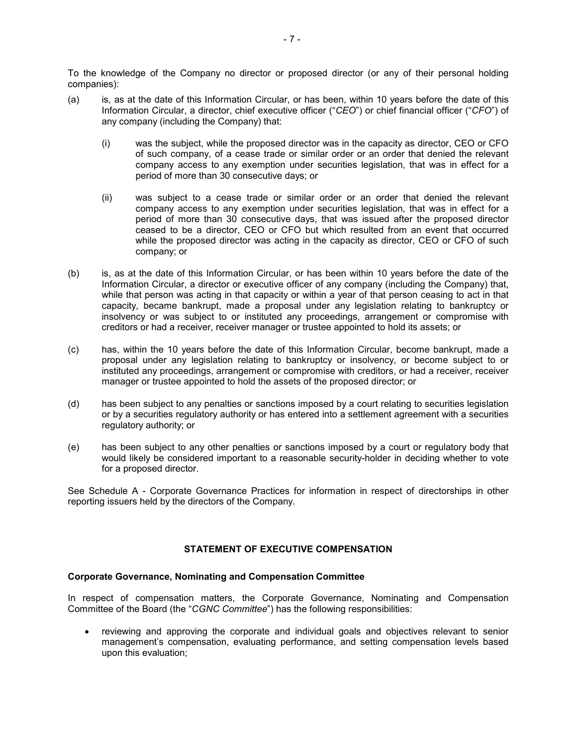To the knowledge of the Company no director or proposed director (or any of their personal holding companies):

- (a) is, as at the date of this Information Circular, or has been, within 10 years before the date of this Information Circular, a director, chief executive officer ("*CEO*") or chief financial officer ("*CFO*") of any company (including the Company) that:
	- (i) was the subject, while the proposed director was in the capacity as director, CEO or CFO of such company, of a cease trade or similar order or an order that denied the relevant company access to any exemption under securities legislation, that was in effect for a period of more than 30 consecutive days; or
	- (ii) was subject to a cease trade or similar order or an order that denied the relevant company access to any exemption under securities legislation, that was in effect for a period of more than 30 consecutive days, that was issued after the proposed director ceased to be a director, CEO or CFO but which resulted from an event that occurred while the proposed director was acting in the capacity as director, CEO or CFO of such company; or
- (b) is, as at the date of this Information Circular, or has been within 10 years before the date of the Information Circular, a director or executive officer of any company (including the Company) that, while that person was acting in that capacity or within a year of that person ceasing to act in that capacity, became bankrupt, made a proposal under any legislation relating to bankruptcy or insolvency or was subject to or instituted any proceedings, arrangement or compromise with creditors or had a receiver, receiver manager or trustee appointed to hold its assets; or
- (c) has, within the 10 years before the date of this Information Circular, become bankrupt, made a proposal under any legislation relating to bankruptcy or insolvency, or become subject to or instituted any proceedings, arrangement or compromise with creditors, or had a receiver, receiver manager or trustee appointed to hold the assets of the proposed director; or
- (d) has been subject to any penalties or sanctions imposed by a court relating to securities legislation or by a securities regulatory authority or has entered into a settlement agreement with a securities regulatory authority; or
- (e) has been subject to any other penalties or sanctions imposed by a court or regulatory body that would likely be considered important to a reasonable security-holder in deciding whether to vote for a proposed director.

See Schedule A - Corporate Governance Practices for information in respect of directorships in other reporting issuers held by the directors of the Company.

## **STATEMENT OF EXECUTIVE COMPENSATION**

## **Corporate Governance, Nominating and Compensation Committee**

In respect of compensation matters, the Corporate Governance, Nominating and Compensation Committee of the Board (the "*CGNC Committee*") has the following responsibilities:

• reviewing and approving the corporate and individual goals and objectives relevant to senior management's compensation, evaluating performance, and setting compensation levels based upon this evaluation;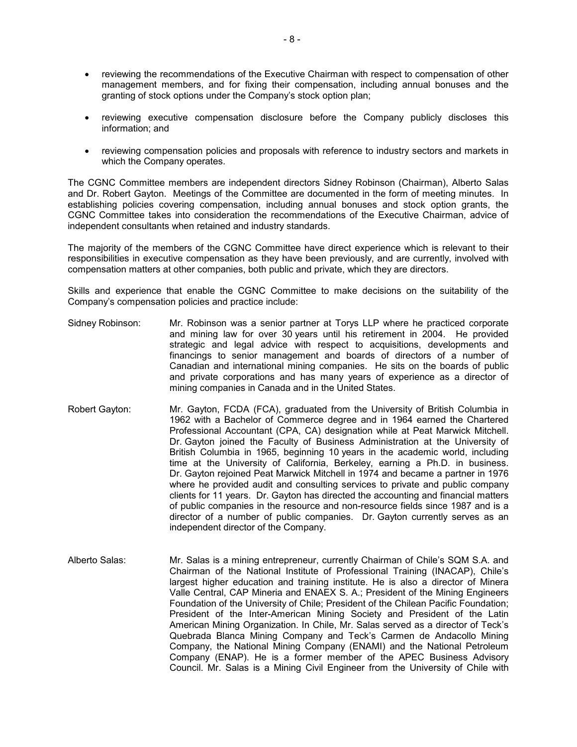- reviewing the recommendations of the Executive Chairman with respect to compensation of other management members, and for fixing their compensation, including annual bonuses and the granting of stock options under the Company's stock option plan;
- reviewing executive compensation disclosure before the Company publicly discloses this information; and
- reviewing compensation policies and proposals with reference to industry sectors and markets in which the Company operates.

The CGNC Committee members are independent directors Sidney Robinson (Chairman), Alberto Salas and Dr. Robert Gayton. Meetings of the Committee are documented in the form of meeting minutes. In establishing policies covering compensation, including annual bonuses and stock option grants, the CGNC Committee takes into consideration the recommendations of the Executive Chairman, advice of independent consultants when retained and industry standards.

The majority of the members of the CGNC Committee have direct experience which is relevant to their responsibilities in executive compensation as they have been previously, and are currently, involved with compensation matters at other companies, both public and private, which they are directors.

Skills and experience that enable the CGNC Committee to make decisions on the suitability of the Company's compensation policies and practice include:

- Sidney Robinson: Mr. Robinson was a senior partner at Torys LLP where he practiced corporate and mining law for over 30 years until his retirement in 2004. He provided strategic and legal advice with respect to acquisitions, developments and financings to senior management and boards of directors of a number of Canadian and international mining companies. He sits on the boards of public and private corporations and has many years of experience as a director of mining companies in Canada and in the United States.
- Robert Gayton: Mr. Gayton, FCDA (FCA), graduated from the University of British Columbia in 1962 with a Bachelor of Commerce degree and in 1964 earned the Chartered Professional Accountant (CPA, CA) designation while at Peat Marwick Mitchell. Dr. Gayton joined the Faculty of Business Administration at the University of British Columbia in 1965, beginning 10 years in the academic world, including time at the University of California, Berkeley, earning a Ph.D. in business. Dr. Gayton rejoined Peat Marwick Mitchell in 1974 and became a partner in 1976 where he provided audit and consulting services to private and public company clients for 11 years. Dr. Gayton has directed the accounting and financial matters of public companies in the resource and non-resource fields since 1987 and is a director of a number of public companies. Dr. Gayton currently serves as an independent director of the Company.
- Alberto Salas: Mr. Salas is a mining entrepreneur, currently Chairman of Chile's SQM S.A. and Chairman of the National Institute of Professional Training (INACAP), Chile's largest higher education and training institute. He is also a director of Minera Valle Central, CAP Mineria and ENAEX S. A.; President of the Mining Engineers Foundation of the University of Chile; President of the Chilean Pacific Foundation; President of the Inter-American Mining Society and President of the Latin American Mining Organization. In Chile, Mr. Salas served as a director of Teck's Quebrada Blanca Mining Company and Teck's Carmen de Andacollo Mining Company, the National Mining Company (ENAMI) and the National Petroleum Company (ENAP). He is a former member of the APEC Business Advisory Council. Mr. Salas is a Mining Civil Engineer from the University of Chile with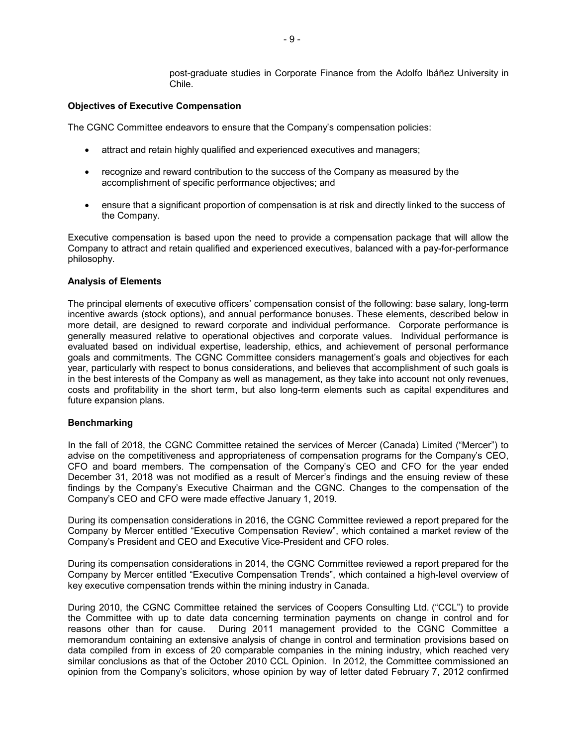post-graduate studies in Corporate Finance from the Adolfo Ibáñez University in Chile.

## **Objectives of Executive Compensation**

The CGNC Committee endeavors to ensure that the Company's compensation policies:

- attract and retain highly qualified and experienced executives and managers;
- recognize and reward contribution to the success of the Company as measured by the accomplishment of specific performance objectives; and
- ensure that a significant proportion of compensation is at risk and directly linked to the success of the Company.

Executive compensation is based upon the need to provide a compensation package that will allow the Company to attract and retain qualified and experienced executives, balanced with a pay-for-performance philosophy.

#### **Analysis of Elements**

The principal elements of executive officers' compensation consist of the following: base salary, long-term incentive awards (stock options), and annual performance bonuses. These elements, described below in more detail, are designed to reward corporate and individual performance. Corporate performance is generally measured relative to operational objectives and corporate values. Individual performance is evaluated based on individual expertise, leadership, ethics, and achievement of personal performance goals and commitments. The CGNC Committee considers management's goals and objectives for each year, particularly with respect to bonus considerations, and believes that accomplishment of such goals is in the best interests of the Company as well as management, as they take into account not only revenues, costs and profitability in the short term, but also long-term elements such as capital expenditures and future expansion plans.

#### **Benchmarking**

In the fall of 2018, the CGNC Committee retained the services of Mercer (Canada) Limited ("Mercer") to advise on the competitiveness and appropriateness of compensation programs for the Company's CEO, CFO and board members. The compensation of the Company's CEO and CFO for the year ended December 31, 2018 was not modified as a result of Mercer's findings and the ensuing review of these findings by the Company's Executive Chairman and the CGNC. Changes to the compensation of the Company's CEO and CFO were made effective January 1, 2019.

During its compensation considerations in 2016, the CGNC Committee reviewed a report prepared for the Company by Mercer entitled "Executive Compensation Review", which contained a market review of the Company's President and CEO and Executive Vice-President and CFO roles.

During its compensation considerations in 2014, the CGNC Committee reviewed a report prepared for the Company by Mercer entitled "Executive Compensation Trends", which contained a high-level overview of key executive compensation trends within the mining industry in Canada.

During 2010, the CGNC Committee retained the services of Coopers Consulting Ltd. ("CCL") to provide the Committee with up to date data concerning termination payments on change in control and for reasons other than for cause. During 2011 management provided to the CGNC Committee a memorandum containing an extensive analysis of change in control and termination provisions based on data compiled from in excess of 20 comparable companies in the mining industry, which reached very similar conclusions as that of the October 2010 CCL Opinion. In 2012, the Committee commissioned an opinion from the Company's solicitors, whose opinion by way of letter dated February 7, 2012 confirmed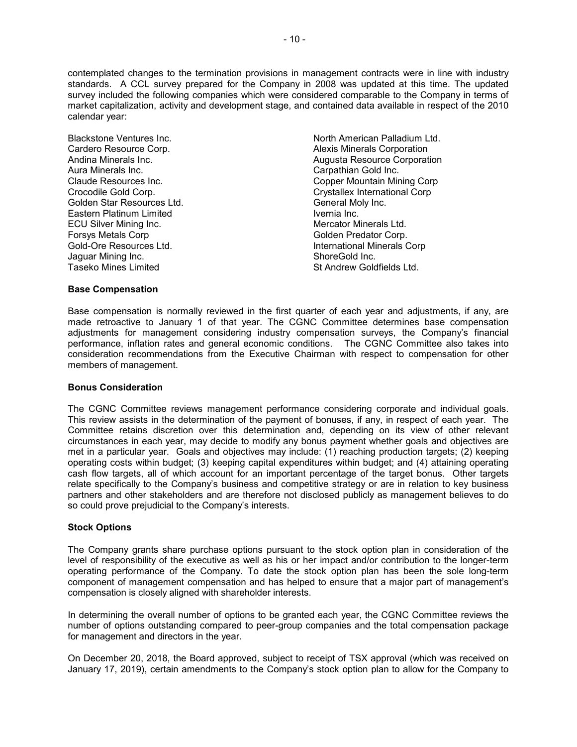contemplated changes to the termination provisions in management contracts were in line with industry standards. A CCL survey prepared for the Company in 2008 was updated at this time. The updated survey included the following companies which were considered comparable to the Company in terms of market capitalization, activity and development stage, and contained data available in respect of the 2010 calendar year:

Golden Star Resources Ltd. General Moly Inc. Eastern Platinum Limited<br>
ECU Silver Mining Inc.<br>
Inc. Mercator Minerals Ltd. ECU Silver Mining Inc. Forsys Metals Corp Golden Predator Corp. Gold-Ore Resources Ltd. International Minerals Corp Jaguar Mining Inc.<br>Taseko Mines Limited

Blackstone Ventures Inc. North American Palladium Ltd.<br>Cardero Resource Corp. North American Palladium Ltd. Alexis Minerals Corporation Andina Minerals Inc. Augusta Resource Corporation Carpathian Gold Inc. Claude Resources Inc. Copper Mountain Mining Corp Crocodile Gold Corp. Crystallex International Corp St Andrew Goldfields Ltd.

## **Base Compensation**

Base compensation is normally reviewed in the first quarter of each year and adjustments, if any, are made retroactive to January 1 of that year. The CGNC Committee determines base compensation adjustments for management considering industry compensation surveys, the Company's financial performance, inflation rates and general economic conditions. The CGNC Committee also takes into consideration recommendations from the Executive Chairman with respect to compensation for other members of management.

#### **Bonus Consideration**

The CGNC Committee reviews management performance considering corporate and individual goals. This review assists in the determination of the payment of bonuses, if any, in respect of each year. The Committee retains discretion over this determination and, depending on its view of other relevant circumstances in each year, may decide to modify any bonus payment whether goals and objectives are met in a particular year. Goals and objectives may include: (1) reaching production targets; (2) keeping operating costs within budget; (3) keeping capital expenditures within budget; and (4) attaining operating cash flow targets, all of which account for an important percentage of the target bonus. Other targets relate specifically to the Company's business and competitive strategy or are in relation to key business partners and other stakeholders and are therefore not disclosed publicly as management believes to do so could prove prejudicial to the Company's interests.

## **Stock Options**

The Company grants share purchase options pursuant to the stock option plan in consideration of the level of responsibility of the executive as well as his or her impact and/or contribution to the longer-term operating performance of the Company. To date the stock option plan has been the sole long-term component of management compensation and has helped to ensure that a major part of management's compensation is closely aligned with shareholder interests.

In determining the overall number of options to be granted each year, the CGNC Committee reviews the number of options outstanding compared to peer-group companies and the total compensation package for management and directors in the year.

On December 20, 2018, the Board approved, subject to receipt of TSX approval (which was received on January 17, 2019), certain amendments to the Company's stock option plan to allow for the Company to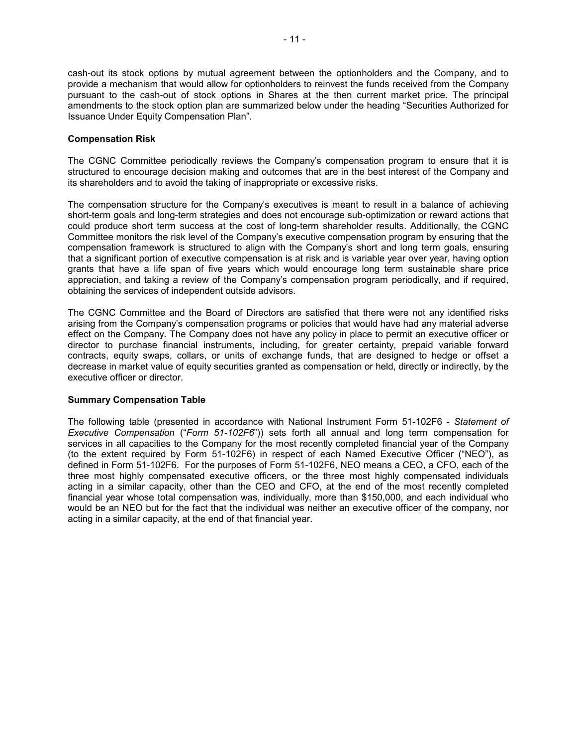cash-out its stock options by mutual agreement between the optionholders and the Company, and to provide a mechanism that would allow for optionholders to reinvest the funds received from the Company pursuant to the cash-out of stock options in Shares at the then current market price. The principal amendments to the stock option plan are summarized below under the heading "Securities Authorized for Issuance Under Equity Compensation Plan".

## **Compensation Risk**

The CGNC Committee periodically reviews the Company's compensation program to ensure that it is structured to encourage decision making and outcomes that are in the best interest of the Company and its shareholders and to avoid the taking of inappropriate or excessive risks.

The compensation structure for the Company's executives is meant to result in a balance of achieving short-term goals and long-term strategies and does not encourage sub-optimization or reward actions that could produce short term success at the cost of long-term shareholder results. Additionally, the CGNC Committee monitors the risk level of the Company's executive compensation program by ensuring that the compensation framework is structured to align with the Company's short and long term goals, ensuring that a significant portion of executive compensation is at risk and is variable year over year, having option grants that have a life span of five years which would encourage long term sustainable share price appreciation, and taking a review of the Company's compensation program periodically, and if required, obtaining the services of independent outside advisors.

The CGNC Committee and the Board of Directors are satisfied that there were not any identified risks arising from the Company's compensation programs or policies that would have had any material adverse effect on the Company. The Company does not have any policy in place to permit an executive officer or director to purchase financial instruments, including, for greater certainty, prepaid variable forward contracts, equity swaps, collars, or units of exchange funds, that are designed to hedge or offset a decrease in market value of equity securities granted as compensation or held, directly or indirectly, by the executive officer or director.

## **Summary Compensation Table**

The following table (presented in accordance with National Instrument Form 51-102F6 - *Statement of Executive Compensation* ("*Form 51-102F6*")) sets forth all annual and long term compensation for services in all capacities to the Company for the most recently completed financial year of the Company (to the extent required by Form 51-102F6) in respect of each Named Executive Officer ("NEO"), as defined in Form 51-102F6. For the purposes of Form 51-102F6, NEO means a CEO, a CFO, each of the three most highly compensated executive officers, or the three most highly compensated individuals acting in a similar capacity, other than the CEO and CFO, at the end of the most recently completed financial year whose total compensation was, individually, more than \$150,000, and each individual who would be an NEO but for the fact that the individual was neither an executive officer of the company, nor acting in a similar capacity, at the end of that financial year.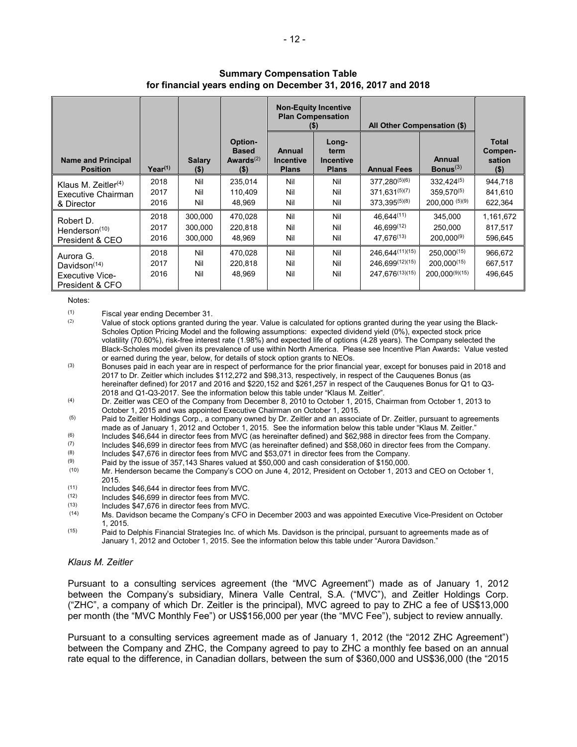|--|--|--|--|

|                                                                           |                      |                               |                                                    | <b>Plan Compensation</b><br>(\$)           | <b>Non-Equity Incentive</b>                       | All Other Compensation (\$)                                                   |                                                             |                                              |
|---------------------------------------------------------------------------|----------------------|-------------------------------|----------------------------------------------------|--------------------------------------------|---------------------------------------------------|-------------------------------------------------------------------------------|-------------------------------------------------------------|----------------------------------------------|
| <b>Name and Principal</b><br><b>Position</b>                              | $Year^{(1)}$         | <b>Salary</b><br>$($ \$)      | Option-<br><b>Based</b><br>Awards $(2)$<br>$($ \$) | Annual<br><b>Incentive</b><br><b>Plans</b> | Long-<br>term<br><b>Incentive</b><br><b>Plans</b> | <b>Annual Fees</b>                                                            | Annual<br>Bonus $(3)$                                       | <b>Total</b><br>Compen-<br>sation<br>$($ \$) |
| Klaus M. Zeitler $(4)$<br>Executive Chairman<br>& Director                | 2018<br>2017<br>2016 | Nil<br>Nil<br>Nil             | 235,014<br>110,409<br>48.969                       | Nil<br>Nil<br>Nil                          | Nil<br>Nil<br>Nil                                 | $377.280^{(5)(6)}$<br>$371.631^{(5)(7)}$<br>373.395(5)(8)                     | $332,424^{(5)}$<br>$359.570^{(5)}$<br>$200.000^{(5)(9)}$    | 944,718<br>841,610<br>622,364                |
| Robert D.<br>Henderson $(10)$<br>President & CEO                          | 2018<br>2017<br>2016 | 300,000<br>300.000<br>300.000 | 470,028<br>220,818<br>48.969                       | Nil<br>Nil<br>Nil                          | Nil<br>Nil<br>Nil                                 | 46.644(11)<br>46.699(12)<br>47.676 <sup>(13)</sup>                            | 345,000<br>250.000<br>$200.000^{(9)}$                       | 1,161,672<br>817,517<br>596,645              |
| Aurora G.<br>Davidson $(14)$<br><b>Executive Vice-</b><br>President & CFO | 2018<br>2017<br>2016 | Nil<br>Nil<br>Nil             | 470,028<br>220.818<br>48.969                       | Nil<br>Nil<br>Nil                          | Nil<br>Nil<br>Nil                                 | 246.644 <sup>(11)(15)</sup><br>246.699(12)(15)<br>247.676 <sup>(13)(15)</sup> | $250,000^{(15)}$<br>$200.000^{(15)}$<br>$200.000^{(9)(15)}$ | 966,672<br>667,517<br>496.645                |

## **Summary Compensation Table for financial years ending on December 31, 2016, 2017 and 2018**

Notes:

 $(1)$  Fiscal year ending December 31.<br> $(2)$  Value of stock options grapted du

- Value of stock options granted during the year. Value is calculated for options granted during the year using the Black-Scholes Option Pricing Model and the following assumptions: expected dividend yield (0%), expected stock price volatility (70.60%), risk-free interest rate (1.98%) and expected life of options (4.28 years). The Company selected the Black-Scholes model given its prevalence of use within North America. Please see Incentive Plan Awards**:** Value vested or earned during the year, below, for details of stock option grants to NEOs.
- (3) Bonuses paid in each year are in respect of performance for the prior financial year, except for bonuses paid in 2018 and 2017 to Dr. Zeitler which includes \$112,272 and \$98,313, respectively, in respect of the Cauquenes Bonus (as hereinafter defined) for 2017 and 2016 and \$220,152 and \$261,257 in respect of the Cauquenes Bonus for Q1 to Q3- 2018 and Q1-Q3-2017. See the information below this table under "Klaus M. Zeitler".
- (4) Dr. Zeitler was CEO of the Company from December 8, 2010 to October 1, 2015, Chairman from October 1, 2013 to October 1, 2015 and was appointed Executive Chairman on October 1, 2015.
- $(5)$  Paid to Zeitler Holdings Corp., a company owned by Dr. Zeitler and an associate of Dr. Zeitler, pursuant to agreements made as of January 1, 2012 and October 1, 2015. See the information below this table under "Klaus M. Zeitler."
- (6) Includes \$46,644 in director fees from MVC (as hereinafter defined) and \$62,988 in director fees from the Company.<br>(7) Includes \$46,699 in director fees from MVC (as hereinafter defined) and \$58,060 in director fees f
- (7) Includes \$46,699 in director fees from MVC (as hereinafter defined) and \$58,060 in director fees from the Company.<br>(8) Includes \$47,676 in director foos from MVC and \$53,071 in director foos from the Company.
- (8) Includes \$47,676 in director fees from MVC and \$53,071 in director fees from the Company.<br>(9) Poid by the issue of 257,142 Shares valued at \$50,000 and each consideration of \$150,000.
- (9) Paid by the issue of 357,143 Shares valued at \$50,000 and cash consideration of \$150,000.<br>(10) Mr. Henderson became the Company's COO on June 4, 2012. President on October 1, 2013
- Mr. Henderson became the Company's COO on June 4, 2012, President on October 1, 2013 and CEO on October 1, 2015.
- $(11)$  Includes \$46,644 in director fees from MVC.<br> $(12)$  Includes \$46,699 in director fees from MVC.
- $(12)$  Includes \$46,699 in director fees from MVC.<br> $(13)$  Includes \$47,676 in director fees from MVC.
- $(13)$  Includes \$47,676 in director fees from MVC.<br> $(14)$  Ms. Davidson became the Company's CEO
- Ms. Davidson became the Company's CFO in December 2003 and was appointed Executive Vice-President on October 1, 2015.
- $(15)$  Paid to Delphis Financial Strategies Inc. of which Ms. Davidson is the principal, pursuant to agreements made as of January 1, 2012 and October 1, 2015. See the information below this table under "Aurora Davidson."

## *Klaus M. Zeitler*

Pursuant to a consulting services agreement (the "MVC Agreement") made as of January 1, 2012 between the Company's subsidiary, Minera Valle Central, S.A. ("MVC"), and Zeitler Holdings Corp. ("ZHC", a company of which Dr. Zeitler is the principal), MVC agreed to pay to ZHC a fee of US\$13,000 per month (the "MVC Monthly Fee") or US\$156,000 per year (the "MVC Fee"), subject to review annually.

Pursuant to a consulting services agreement made as of January 1, 2012 (the "2012 ZHC Agreement") between the Company and ZHC, the Company agreed to pay to ZHC a monthly fee based on an annual rate equal to the difference, in Canadian dollars, between the sum of \$360,000 and US\$36,000 (the "2015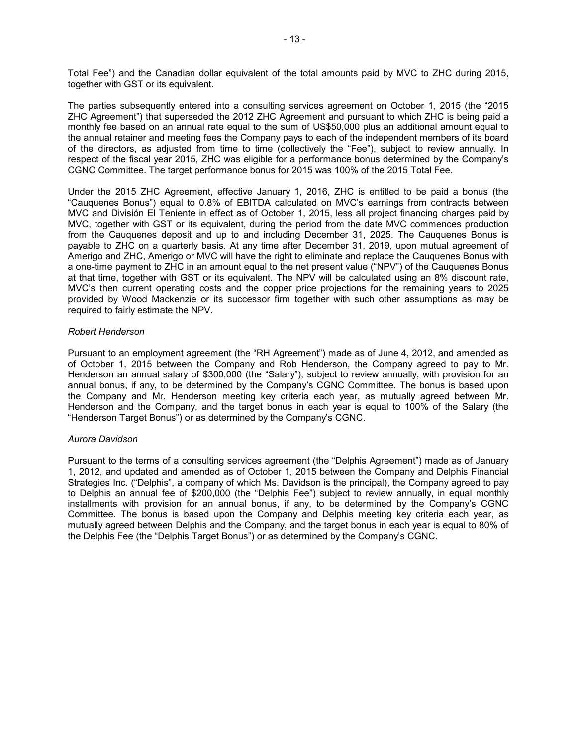Total Fee") and the Canadian dollar equivalent of the total amounts paid by MVC to ZHC during 2015, together with GST or its equivalent.

The parties subsequently entered into a consulting services agreement on October 1, 2015 (the "2015 ZHC Agreement") that superseded the 2012 ZHC Agreement and pursuant to which ZHC is being paid a monthly fee based on an annual rate equal to the sum of US\$50,000 plus an additional amount equal to the annual retainer and meeting fees the Company pays to each of the independent members of its board of the directors, as adjusted from time to time (collectively the "Fee"), subject to review annually. In respect of the fiscal year 2015, ZHC was eligible for a performance bonus determined by the Company's CGNC Committee. The target performance bonus for 2015 was 100% of the 2015 Total Fee.

Under the 2015 ZHC Agreement, effective January 1, 2016, ZHC is entitled to be paid a bonus (the "Cauquenes Bonus") equal to 0.8% of EBITDA calculated on MVC's earnings from contracts between MVC and División El Teniente in effect as of October 1, 2015, less all project financing charges paid by MVC, together with GST or its equivalent, during the period from the date MVC commences production from the Cauquenes deposit and up to and including December 31, 2025. The Cauquenes Bonus is payable to ZHC on a quarterly basis. At any time after December 31, 2019, upon mutual agreement of Amerigo and ZHC, Amerigo or MVC will have the right to eliminate and replace the Cauquenes Bonus with a one-time payment to ZHC in an amount equal to the net present value ("NPV") of the Cauquenes Bonus at that time, together with GST or its equivalent. The NPV will be calculated using an 8% discount rate, MVC's then current operating costs and the copper price projections for the remaining years to 2025 provided by Wood Mackenzie or its successor firm together with such other assumptions as may be required to fairly estimate the NPV.

## *Robert Henderson*

Pursuant to an employment agreement (the "RH Agreement") made as of June 4, 2012, and amended as of October 1, 2015 between the Company and Rob Henderson, the Company agreed to pay to Mr. Henderson an annual salary of \$300,000 (the "Salary"), subject to review annually, with provision for an annual bonus, if any, to be determined by the Company's CGNC Committee. The bonus is based upon the Company and Mr. Henderson meeting key criteria each year, as mutually agreed between Mr. Henderson and the Company, and the target bonus in each year is equal to 100% of the Salary (the "Henderson Target Bonus") or as determined by the Company's CGNC.

## *Aurora Davidson*

Pursuant to the terms of a consulting services agreement (the "Delphis Agreement") made as of January 1, 2012, and updated and amended as of October 1, 2015 between the Company and Delphis Financial Strategies Inc. ("Delphis", a company of which Ms. Davidson is the principal), the Company agreed to pay to Delphis an annual fee of \$200,000 (the "Delphis Fee") subject to review annually, in equal monthly installments with provision for an annual bonus, if any, to be determined by the Company's CGNC Committee. The bonus is based upon the Company and Delphis meeting key criteria each year, as mutually agreed between Delphis and the Company, and the target bonus in each year is equal to 80% of the Delphis Fee (the "Delphis Target Bonus") or as determined by the Company's CGNC.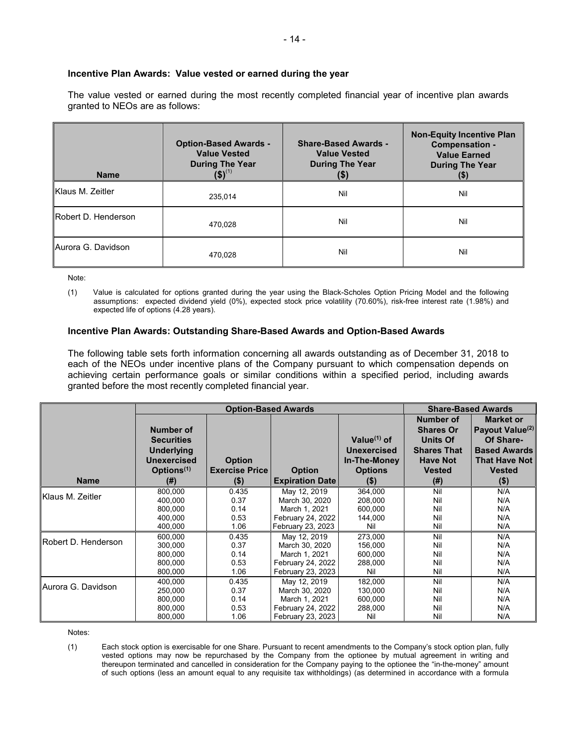## **Incentive Plan Awards: Value vested or earned during the year**

The value vested or earned during the most recently completed financial year of incentive plan awards granted to NEOs are as follows:

| <b>Name</b>         | <b>Option-Based Awards -</b><br><b>Value Vested</b><br><b>During The Year</b><br>$(5)^{(1)}$ | <b>Share-Based Awards -</b><br><b>Value Vested</b><br><b>During The Year</b><br>(\$) | <b>Non-Equity Incentive Plan</b><br>Compensation -<br><b>Value Earned</b><br><b>During The Year</b><br>$($ \$) |
|---------------------|----------------------------------------------------------------------------------------------|--------------------------------------------------------------------------------------|----------------------------------------------------------------------------------------------------------------|
| Klaus M. Zeitler    | 235.014                                                                                      | Nil                                                                                  | Nil                                                                                                            |
| Robert D. Henderson | 470,028                                                                                      | Nil                                                                                  | Nil                                                                                                            |
| IAurora G. Davidson | 470.028                                                                                      | Nil                                                                                  | Nil                                                                                                            |

Note:

(1) Value is calculated for options granted during the year using the Black-Scholes Option Pricing Model and the following assumptions: expected dividend yield (0%), expected stock price volatility (70.60%), risk-free interest rate (1.98%) and expected life of options (4.28 years).

#### **Incentive Plan Awards: Outstanding Share-Based Awards and Option-Based Awards**

The following table sets forth information concerning all awards outstanding as of December 31, 2018 to each of the NEOs under incentive plans of the Company pursuant to which compensation depends on achieving certain performance goals or similar conditions within a specified period, including awards granted before the most recently completed financial year.

|                            |                                                                                              | <b>Option-Based Awards</b>             |                        | <b>Share-Based Awards</b>                                              |                                                                                                                   |                                                                                                                              |
|----------------------------|----------------------------------------------------------------------------------------------|----------------------------------------|------------------------|------------------------------------------------------------------------|-------------------------------------------------------------------------------------------------------------------|------------------------------------------------------------------------------------------------------------------------------|
|                            | Number of<br><b>Securities</b><br><b>Underlying</b><br>Unexercised<br>Options <sup>(1)</sup> | <b>Option</b><br><b>Exercise Price</b> | <b>Option</b>          | Value $(1)$ of<br><b>Unexercised</b><br>In-The-Money<br><b>Options</b> | <b>Number of</b><br><b>Shares Or</b><br><b>Units Of</b><br><b>Shares That</b><br><b>Have Not</b><br><b>Vested</b> | <b>Market or</b><br>Payout Value <sup>(2)</sup><br>Of Share-<br><b>Based Awards</b><br><b>That Have Not</b><br><b>Vested</b> |
| <b>Name</b>                | (#)                                                                                          | $($ \$)                                | <b>Expiration Date</b> | $($ \$                                                                 | (# )                                                                                                              | $($ \$)                                                                                                                      |
| Klaus M. Zeitler           | 800.000                                                                                      | 0.435                                  | May 12, 2019           | 364.000                                                                | Nil                                                                                                               | N/A                                                                                                                          |
|                            | 400,000                                                                                      | 0.37                                   | March 30, 2020         | 208,000                                                                | Nil                                                                                                               | N/A                                                                                                                          |
|                            | 800,000                                                                                      | 0.14                                   | March 1, 2021          | 600,000                                                                | Nil                                                                                                               | N/A                                                                                                                          |
|                            | 400.000                                                                                      | 0.53                                   | February 24, 2022      | 144.000                                                                | Nil                                                                                                               | N/A                                                                                                                          |
|                            | 400.000                                                                                      | 1.06                                   | February 23, 2023      | Nil                                                                    | Nil                                                                                                               | N/A                                                                                                                          |
| Robert D. Henderson        | 600,000                                                                                      | 0.435                                  | May 12, 2019           | 273,000                                                                | Nil                                                                                                               | N/A                                                                                                                          |
|                            | 300.000                                                                                      | 0.37                                   | March 30, 2020         | 156,000                                                                | Nil                                                                                                               | N/A                                                                                                                          |
|                            | 800,000                                                                                      | 0.14                                   | March 1, 2021          | 600,000                                                                | Nil                                                                                                               | N/A                                                                                                                          |
|                            | 800.000                                                                                      | 0.53                                   | February 24, 2022      | 288,000                                                                | Nil                                                                                                               | N/A                                                                                                                          |
|                            | 800,000                                                                                      | 1.06                                   | February 23, 2023      | Nil                                                                    | Nil                                                                                                               | N/A                                                                                                                          |
| <b>IAurora G. Davidson</b> | 400,000                                                                                      | 0.435                                  | May 12, 2019           | 182,000                                                                | Nil                                                                                                               | N/A                                                                                                                          |
|                            | 250,000                                                                                      | 0.37                                   | March 30, 2020         | 130,000                                                                | Nil                                                                                                               | N/A                                                                                                                          |
|                            | 800,000                                                                                      | 0.14                                   | March 1, 2021          | 600,000                                                                | Nil                                                                                                               | N/A                                                                                                                          |
|                            | 800,000                                                                                      | 0.53                                   | February 24, 2022      | 288,000                                                                | Nil                                                                                                               | N/A                                                                                                                          |
|                            | 800,000                                                                                      | 1.06                                   | February 23, 2023      | Nil                                                                    | Nil                                                                                                               | N/A                                                                                                                          |

Notes:

(1) Each stock option is exercisable for one Share. Pursuant to recent amendments to the Company's stock option plan, fully vested options may now be repurchased by the Company from the optionee by mutual agreement in writing and thereupon terminated and cancelled in consideration for the Company paying to the optionee the "in-the-money" amount of such options (less an amount equal to any requisite tax withholdings) (as determined in accordance with a formula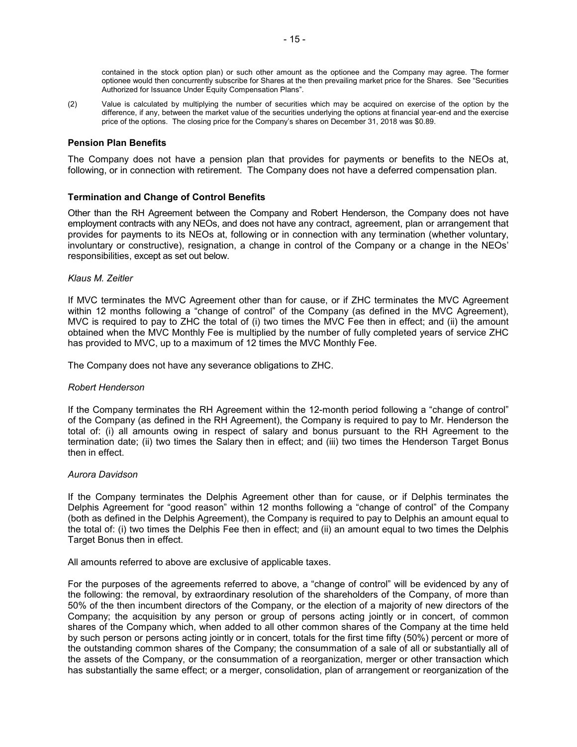contained in the stock option plan) or such other amount as the optionee and the Company may agree. The former optionee would then concurrently subscribe for Shares at the then prevailing market price for the Shares. See "Securities Authorized for Issuance Under Equity Compensation Plans".

(2) Value is calculated by multiplying the number of securities which may be acquired on exercise of the option by the difference, if any, between the market value of the securities underlying the options at financial year-end and the exercise price of the options. The closing price for the Company's shares on December 31, 2018 was \$0.89.

## **Pension Plan Benefits**

The Company does not have a pension plan that provides for payments or benefits to the NEOs at, following, or in connection with retirement. The Company does not have a deferred compensation plan.

## **Termination and Change of Control Benefits**

Other than the RH Agreement between the Company and Robert Henderson, the Company does not have employment contracts with any NEOs, and does not have any contract, agreement, plan or arrangement that provides for payments to its NEOs at, following or in connection with any termination (whether voluntary, involuntary or constructive), resignation, a change in control of the Company or a change in the NEOs' responsibilities, except as set out below.

## *Klaus M. Zeitler*

If MVC terminates the MVC Agreement other than for cause, or if ZHC terminates the MVC Agreement within 12 months following a "change of control" of the Company (as defined in the MVC Agreement), MVC is required to pay to ZHC the total of (i) two times the MVC Fee then in effect; and (ii) the amount obtained when the MVC Monthly Fee is multiplied by the number of fully completed years of service ZHC has provided to MVC, up to a maximum of 12 times the MVC Monthly Fee.

The Company does not have any severance obligations to ZHC.

## *Robert Henderson*

If the Company terminates the RH Agreement within the 12-month period following a "change of control" of the Company (as defined in the RH Agreement), the Company is required to pay to Mr. Henderson the total of: (i) all amounts owing in respect of salary and bonus pursuant to the RH Agreement to the termination date; (ii) two times the Salary then in effect; and (iii) two times the Henderson Target Bonus then in effect.

#### *Aurora Davidson*

If the Company terminates the Delphis Agreement other than for cause, or if Delphis terminates the Delphis Agreement for "good reason" within 12 months following a "change of control" of the Company (both as defined in the Delphis Agreement), the Company is required to pay to Delphis an amount equal to the total of: (i) two times the Delphis Fee then in effect; and (ii) an amount equal to two times the Delphis Target Bonus then in effect.

All amounts referred to above are exclusive of applicable taxes.

For the purposes of the agreements referred to above, a "change of control" will be evidenced by any of the following: the removal, by extraordinary resolution of the shareholders of the Company, of more than 50% of the then incumbent directors of the Company, or the election of a majority of new directors of the Company; the acquisition by any person or group of persons acting jointly or in concert, of common shares of the Company which, when added to all other common shares of the Company at the time held by such person or persons acting jointly or in concert, totals for the first time fifty (50%) percent or more of the outstanding common shares of the Company; the consummation of a sale of all or substantially all of the assets of the Company, or the consummation of a reorganization, merger or other transaction which has substantially the same effect; or a merger, consolidation, plan of arrangement or reorganization of the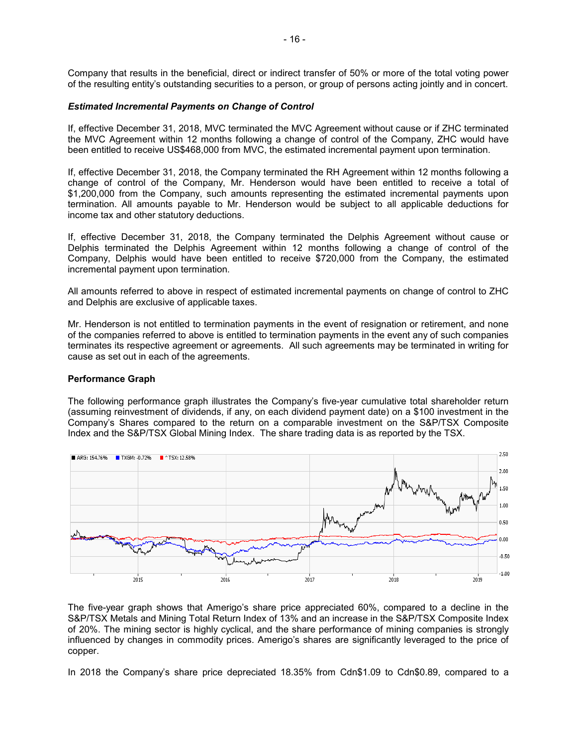Company that results in the beneficial, direct or indirect transfer of 50% or more of the total voting power of the resulting entity's outstanding securities to a person, or group of persons acting jointly and in concert.

## *Estimated Incremental Payments on Change of Control*

If, effective December 31, 2018, MVC terminated the MVC Agreement without cause or if ZHC terminated the MVC Agreement within 12 months following a change of control of the Company, ZHC would have been entitled to receive US\$468,000 from MVC, the estimated incremental payment upon termination.

If, effective December 31, 2018, the Company terminated the RH Agreement within 12 months following a change of control of the Company, Mr. Henderson would have been entitled to receive a total of \$1,200,000 from the Company, such amounts representing the estimated incremental payments upon termination. All amounts payable to Mr. Henderson would be subject to all applicable deductions for income tax and other statutory deductions.

If, effective December 31, 2018, the Company terminated the Delphis Agreement without cause or Delphis terminated the Delphis Agreement within 12 months following a change of control of the Company, Delphis would have been entitled to receive \$720,000 from the Company, the estimated incremental payment upon termination.

All amounts referred to above in respect of estimated incremental payments on change of control to ZHC and Delphis are exclusive of applicable taxes.

Mr. Henderson is not entitled to termination payments in the event of resignation or retirement, and none of the companies referred to above is entitled to termination payments in the event any of such companies terminates its respective agreement or agreements. All such agreements may be terminated in writing for cause as set out in each of the agreements.

## **Performance Graph**

The following performance graph illustrates the Company's five-year cumulative total shareholder return (assuming reinvestment of dividends, if any, on each dividend payment date) on a \$100 investment in the Company's Shares compared to the return on a comparable investment on the S&P/TSX Composite Index and the S&P/TSX Global Mining Index. The share trading data is as reported by the TSX.



The five-year graph shows that Amerigo's share price appreciated 60%, compared to a decline in the S&P/TSX Metals and Mining Total Return Index of 13% and an increase in the S&P/TSX Composite Index of 20%. The mining sector is highly cyclical, and the share performance of mining companies is strongly influenced by changes in commodity prices. Amerigo's shares are significantly leveraged to the price of copper.

In 2018 the Company's share price depreciated 18.35% from Cdn\$1.09 to Cdn\$0.89, compared to a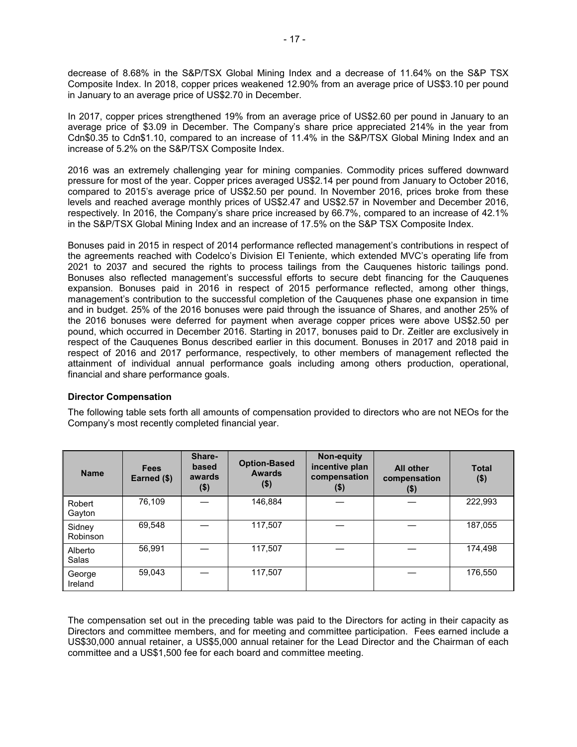decrease of 8.68% in the S&P/TSX Global Mining Index and a decrease of 11.64% on the S&P TSX Composite Index. In 2018, copper prices weakened 12.90% from an average price of US\$3.10 per pound in January to an average price of US\$2.70 in December.

In 2017, copper prices strengthened 19% from an average price of US\$2.60 per pound in January to an average price of \$3.09 in December. The Company's share price appreciated 214% in the year from Cdn\$0.35 to Cdn\$1.10, compared to an increase of 11.4% in the S&P/TSX Global Mining Index and an increase of 5.2% on the S&P/TSX Composite Index.

2016 was an extremely challenging year for mining companies. Commodity prices suffered downward pressure for most of the year. Copper prices averaged US\$2.14 per pound from January to October 2016, compared to 2015's average price of US\$2.50 per pound. In November 2016, prices broke from these levels and reached average monthly prices of US\$2.47 and US\$2.57 in November and December 2016, respectively. In 2016, the Company's share price increased by 66.7%, compared to an increase of 42.1% in the S&P/TSX Global Mining Index and an increase of 17.5% on the S&P TSX Composite Index.

Bonuses paid in 2015 in respect of 2014 performance reflected management's contributions in respect of the agreements reached with Codelco's Division El Teniente, which extended MVC's operating life from 2021 to 2037 and secured the rights to process tailings from the Cauquenes historic tailings pond. Bonuses also reflected management's successful efforts to secure debt financing for the Cauquenes expansion. Bonuses paid in 2016 in respect of 2015 performance reflected, among other things, management's contribution to the successful completion of the Cauquenes phase one expansion in time and in budget. 25% of the 2016 bonuses were paid through the issuance of Shares, and another 25% of the 2016 bonuses were deferred for payment when average copper prices were above US\$2.50 per pound, which occurred in December 2016. Starting in 2017, bonuses paid to Dr. Zeitler are exclusively in respect of the Cauquenes Bonus described earlier in this document. Bonuses in 2017 and 2018 paid in respect of 2016 and 2017 performance, respectively, to other members of management reflected the attainment of individual annual performance goals including among others production, operational, financial and share performance goals.

## **Director Compensation**

The following table sets forth all amounts of compensation provided to directors who are not NEOs for the Company's most recently completed financial year.

| <b>Name</b>        | <b>Fees</b><br>Earned (\$) | Share-<br>based<br>awards<br>\$) | <b>Option-Based</b><br><b>Awards</b><br>$($ \$) | Non-equity<br>incentive plan<br>compensation<br>$($ \$) | <b>All other</b><br>compensation<br>$($ \$) | <b>Total</b><br>$($ \$) |
|--------------------|----------------------------|----------------------------------|-------------------------------------------------|---------------------------------------------------------|---------------------------------------------|-------------------------|
| Robert<br>Gayton   | 76,109                     |                                  | 146,884                                         |                                                         |                                             | 222,993                 |
| Sidney<br>Robinson | 69,548                     |                                  | 117,507                                         |                                                         |                                             | 187,055                 |
| Alberto<br>Salas   | 56,991                     |                                  | 117,507                                         |                                                         |                                             | 174,498                 |
| George<br>Ireland  | 59,043                     |                                  | 117,507                                         |                                                         |                                             | 176,550                 |

The compensation set out in the preceding table was paid to the Directors for acting in their capacity as Directors and committee members, and for meeting and committee participation. Fees earned include a US\$30,000 annual retainer, a US\$5,000 annual retainer for the Lead Director and the Chairman of each committee and a US\$1,500 fee for each board and committee meeting.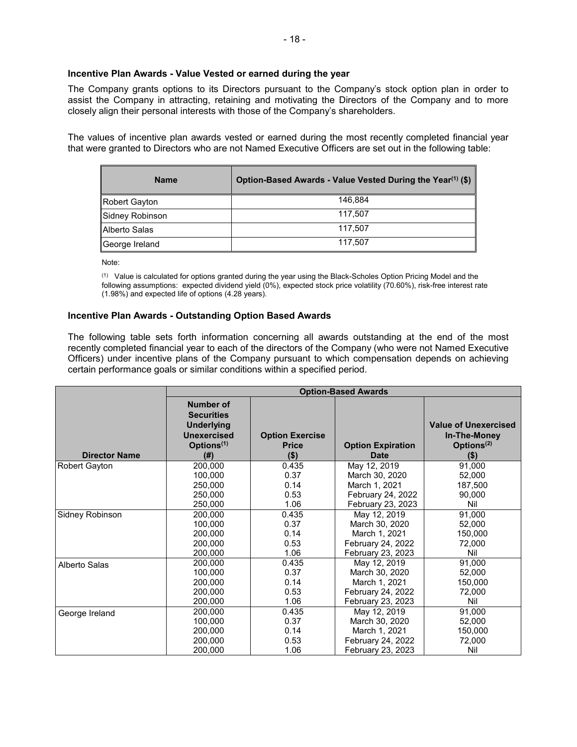## **Incentive Plan Awards - Value Vested or earned during the year**

The Company grants options to its Directors pursuant to the Company's stock option plan in order to assist the Company in attracting, retaining and motivating the Directors of the Company and to more closely align their personal interests with those of the Company's shareholders.

The values of incentive plan awards vested or earned during the most recently completed financial year that were granted to Directors who are not Named Executive Officers are set out in the following table:

| <b>Name</b>     | Option-Based Awards - Value Vested During the Year <sup>(1)</sup> (\$) |
|-----------------|------------------------------------------------------------------------|
| Robert Gayton   | 146.884                                                                |
| Sidney Robinson | 117,507                                                                |
| Alberto Salas   | 117.507                                                                |
| George Ireland  | 117,507                                                                |

Note:

 $(1)$  Value is calculated for options granted during the year using the Black-Scholes Option Pricing Model and the following assumptions: expected dividend yield (0%), expected stock price volatility (70.60%), risk-free interest rate (1.98%) and expected life of options (4.28 years).

## **Incentive Plan Awards - Outstanding Option Based Awards**

The following table sets forth information concerning all awards outstanding at the end of the most recently completed financial year to each of the directors of the Company (who were not Named Executive Officers) under incentive plans of the Company pursuant to which compensation depends on achieving certain performance goals or similar conditions within a specified period.

|                      | <b>Option-Based Awards</b>                                                                                         |                                                   |                                         |                                                                                  |  |
|----------------------|--------------------------------------------------------------------------------------------------------------------|---------------------------------------------------|-----------------------------------------|----------------------------------------------------------------------------------|--|
| <b>Director Name</b> | <b>Number of</b><br><b>Securities</b><br><b>Underlying</b><br><b>Unexercised</b><br>Options <sup>(1)</sup><br>(# ) | <b>Option Exercise</b><br><b>Price</b><br>$($ \$) | <b>Option Expiration</b><br><b>Date</b> | <b>Value of Unexercised</b><br>In-The-Money<br>Options <sup>(2)</sup><br>$($ \$) |  |
| Robert Gayton        | 200,000                                                                                                            | 0.435                                             | May 12, 2019                            | 91,000                                                                           |  |
|                      | 100.000                                                                                                            | 0.37                                              | March 30, 2020                          | 52,000                                                                           |  |
|                      | 250,000                                                                                                            | 0.14                                              | March 1, 2021                           | 187,500                                                                          |  |
|                      | 250,000                                                                                                            | 0.53                                              | February 24, 2022                       | 90,000                                                                           |  |
|                      | 250,000                                                                                                            | 1.06                                              | February 23, 2023                       | Nil                                                                              |  |
| Sidney Robinson      | 200,000                                                                                                            | 0.435                                             | May 12, 2019                            | 91,000                                                                           |  |
|                      | 100,000                                                                                                            | 0.37                                              | March 30, 2020                          | 52,000                                                                           |  |
|                      | 200,000                                                                                                            | 0.14                                              | March 1, 2021                           | 150,000                                                                          |  |
|                      | 200,000                                                                                                            | 0.53                                              | February 24, 2022                       | 72,000                                                                           |  |
|                      | 200,000                                                                                                            | 1.06                                              | February 23, 2023                       | Nil                                                                              |  |
| Alberto Salas        | 200,000                                                                                                            | 0.435                                             | May 12, 2019                            | 91,000                                                                           |  |
|                      | 100,000                                                                                                            | 0.37                                              | March 30, 2020                          | 52,000                                                                           |  |
|                      | 200.000                                                                                                            | 0.14                                              | March 1, 2021                           | 150,000                                                                          |  |
|                      | 200.000                                                                                                            | 0.53                                              | February 24, 2022                       | 72,000                                                                           |  |
|                      | 200,000                                                                                                            | 1.06                                              | February 23, 2023                       | Nil                                                                              |  |
| George Ireland       | 200,000                                                                                                            | 0.435                                             | May 12, 2019                            | 91.000                                                                           |  |
|                      | 100,000                                                                                                            | 0.37                                              | March 30, 2020                          | 52,000                                                                           |  |
|                      | 200,000                                                                                                            | 0.14                                              | March 1, 2021                           | 150,000                                                                          |  |
|                      | 200,000                                                                                                            | 0.53                                              | February 24, 2022                       | 72,000                                                                           |  |
|                      | 200,000                                                                                                            | 1.06                                              | February 23, 2023                       | Nil                                                                              |  |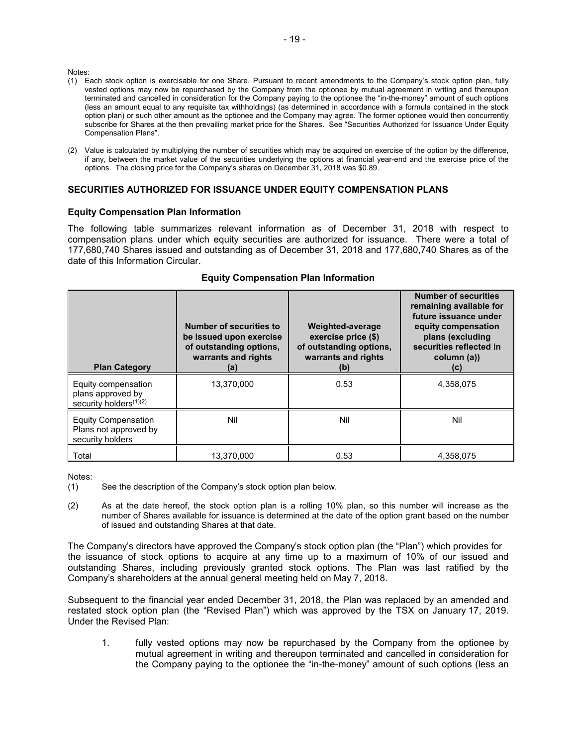Notes:

- (1) Each stock option is exercisable for one Share. Pursuant to recent amendments to the Company's stock option plan, fully vested options may now be repurchased by the Company from the optionee by mutual agreement in writing and thereupon terminated and cancelled in consideration for the Company paying to the optionee the "in-the-money" amount of such options (less an amount equal to any requisite tax withholdings) (as determined in accordance with a formula contained in the stock option plan) or such other amount as the optionee and the Company may agree. The former optionee would then concurrently subscribe for Shares at the then prevailing market price for the Shares. See "Securities Authorized for Issuance Under Equity Compensation Plans".
- (2) Value is calculated by multiplying the number of securities which may be acquired on exercise of the option by the difference, if any, between the market value of the securities underlying the options at financial year-end and the exercise price of the options. The closing price for the Company's shares on December 31, 2018 was \$0.89.

## **SECURITIES AUTHORIZED FOR ISSUANCE UNDER EQUITY COMPENSATION PLANS**

#### **Equity Compensation Plan Information**

The following table summarizes relevant information as of December 31, 2018 with respect to compensation plans under which equity securities are authorized for issuance. There were a total of 177,280,740 Shares issued and outstanding as of December 31, 2018 and 177,680,740 Shares as of the date of this Information Circular.

| <b>Plan Category</b>                                                           | Number of securities to<br>be issued upon exercise<br>of outstanding options,<br>warrants and rights<br>(a) | Weighted-average<br>exercise price (\$)<br>of outstanding options,<br>warrants and rights<br>(b) | <b>Number of securities</b><br>remaining available for<br>future issuance under<br>equity compensation<br>plans (excluding<br>securities reflected in<br>column (a))<br>(c) |
|--------------------------------------------------------------------------------|-------------------------------------------------------------------------------------------------------------|--------------------------------------------------------------------------------------------------|-----------------------------------------------------------------------------------------------------------------------------------------------------------------------------|
| Equity compensation<br>plans approved by<br>security holders <sup>(1)(2)</sup> | 13.370.000                                                                                                  | 0.53                                                                                             | 4,358,075                                                                                                                                                                   |
| <b>Equity Compensation</b><br>Plans not approved by<br>security holders        | Nil                                                                                                         | Nil                                                                                              | Nil                                                                                                                                                                         |
| Total                                                                          | 13.370.000                                                                                                  | 0.53                                                                                             | 4,358,075                                                                                                                                                                   |

## **Equity Compensation Plan Information**

Notes:

(2) As at the date hereof, the stock option plan is a rolling 10% plan, so this number will increase as the number of Shares available for issuance is determined at the date of the option grant based on the number of issued and outstanding Shares at that date.

The Company's directors have approved the Company's stock option plan (the "Plan") which provides for the issuance of stock options to acquire at any time up to a maximum of 10% of our issued and outstanding Shares, including previously granted stock options. The Plan was last ratified by the Company's shareholders at the annual general meeting held on May 7, 2018.

Subsequent to the financial year ended December 31, 2018, the Plan was replaced by an amended and restated stock option plan (the "Revised Plan") which was approved by the TSX on January 17, 2019. Under the Revised Plan:

1. fully vested options may now be repurchased by the Company from the optionee by mutual agreement in writing and thereupon terminated and cancelled in consideration for the Company paying to the optionee the "in-the-money" amount of such options (less an

<sup>(1)</sup> See the description of the Company's stock option plan below.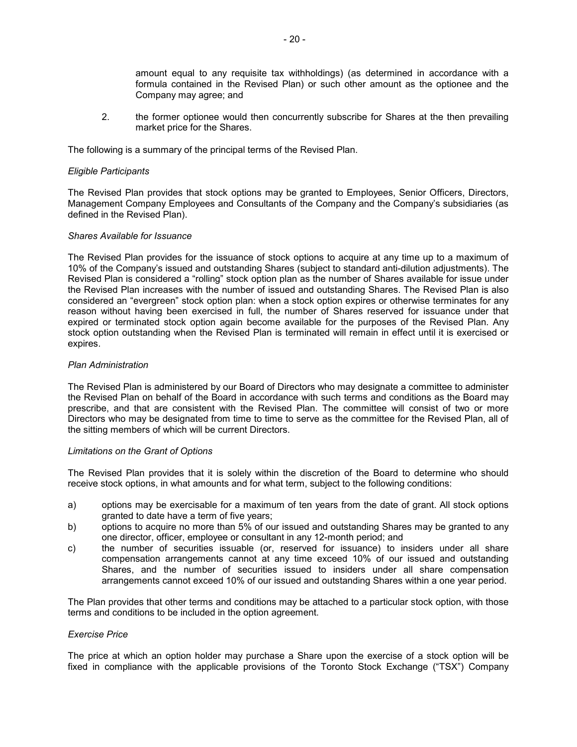amount equal to any requisite tax withholdings) (as determined in accordance with a formula contained in the Revised Plan) or such other amount as the optionee and the Company may agree; and

2. the former optionee would then concurrently subscribe for Shares at the then prevailing market price for the Shares.

The following is a summary of the principal terms of the Revised Plan.

#### *Eligible Participants*

The Revised Plan provides that stock options may be granted to Employees, Senior Officers, Directors, Management Company Employees and Consultants of the Company and the Company's subsidiaries (as defined in the Revised Plan).

## *Shares Available for Issuance*

The Revised Plan provides for the issuance of stock options to acquire at any time up to a maximum of 10% of the Company's issued and outstanding Shares (subject to standard anti-dilution adjustments). The Revised Plan is considered a "rolling" stock option plan as the number of Shares available for issue under the Revised Plan increases with the number of issued and outstanding Shares. The Revised Plan is also considered an "evergreen" stock option plan: when a stock option expires or otherwise terminates for any reason without having been exercised in full, the number of Shares reserved for issuance under that expired or terminated stock option again become available for the purposes of the Revised Plan. Any stock option outstanding when the Revised Plan is terminated will remain in effect until it is exercised or expires.

## *Plan Administration*

The Revised Plan is administered by our Board of Directors who may designate a committee to administer the Revised Plan on behalf of the Board in accordance with such terms and conditions as the Board may prescribe, and that are consistent with the Revised Plan. The committee will consist of two or more Directors who may be designated from time to time to serve as the committee for the Revised Plan, all of the sitting members of which will be current Directors.

#### *Limitations on the Grant of Options*

The Revised Plan provides that it is solely within the discretion of the Board to determine who should receive stock options, in what amounts and for what term, subject to the following conditions:

- a) options may be exercisable for a maximum of ten years from the date of grant. All stock options granted to date have a term of five years;
- b) options to acquire no more than 5% of our issued and outstanding Shares may be granted to any one director, officer, employee or consultant in any 12-month period; and
- c) the number of securities issuable (or, reserved for issuance) to insiders under all share compensation arrangements cannot at any time exceed 10% of our issued and outstanding Shares, and the number of securities issued to insiders under all share compensation arrangements cannot exceed 10% of our issued and outstanding Shares within a one year period.

The Plan provides that other terms and conditions may be attached to a particular stock option, with those terms and conditions to be included in the option agreement.

#### *Exercise Price*

The price at which an option holder may purchase a Share upon the exercise of a stock option will be fixed in compliance with the applicable provisions of the Toronto Stock Exchange ("TSX") Company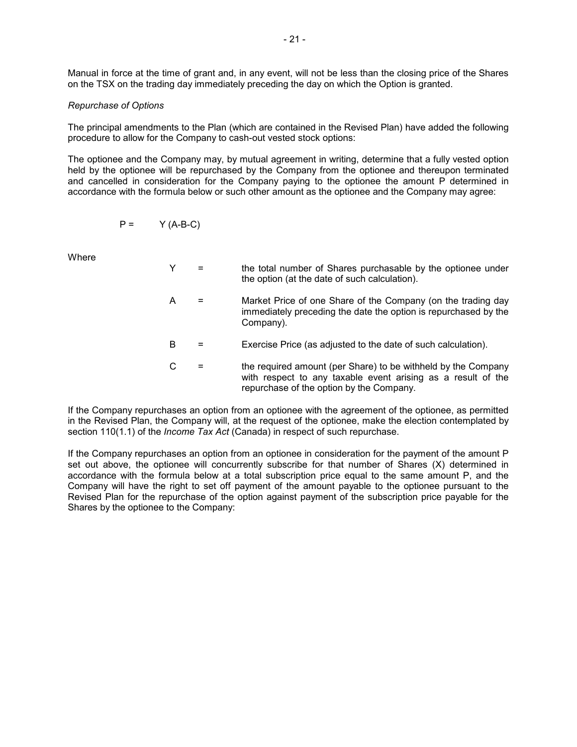Manual in force at the time of grant and, in any event, will not be less than the closing price of the Shares on the TSX on the trading day immediately preceding the day on which the Option is granted.

## *Repurchase of Options*

The principal amendments to the Plan (which are contained in the Revised Plan) have added the following procedure to allow for the Company to cash-out vested stock options:

The optionee and the Company may, by mutual agreement in writing, determine that a fully vested option held by the optionee will be repurchased by the Company from the optionee and thereupon terminated and cancelled in consideration for the Company paying to the optionee the amount P determined in accordance with the formula below or such other amount as the optionee and the Company may agree:

$$
P = \qquad \qquad Y (A-B-C)
$$

**Where** 

- Y = the total number of Shares purchasable by the optionee under the option (at the date of such calculation).
- A = Market Price of one Share of the Company (on the trading day immediately preceding the date the option is repurchased by the Company).
- B = Exercise Price (as adjusted to the date of such calculation).
- $C =$  the required amount (per Share) to be withheld by the Company with respect to any taxable event arising as a result of the repurchase of the option by the Company.

If the Company repurchases an option from an optionee with the agreement of the optionee, as permitted in the Revised Plan, the Company will, at the request of the optionee, make the election contemplated by section 110(1.1) of the *Income Tax Act* (Canada) in respect of such repurchase.

If the Company repurchases an option from an optionee in consideration for the payment of the amount P set out above, the optionee will concurrently subscribe for that number of Shares (X) determined in accordance with the formula below at a total subscription price equal to the same amount P, and the Company will have the right to set off payment of the amount payable to the optionee pursuant to the Revised Plan for the repurchase of the option against payment of the subscription price payable for the Shares by the optionee to the Company: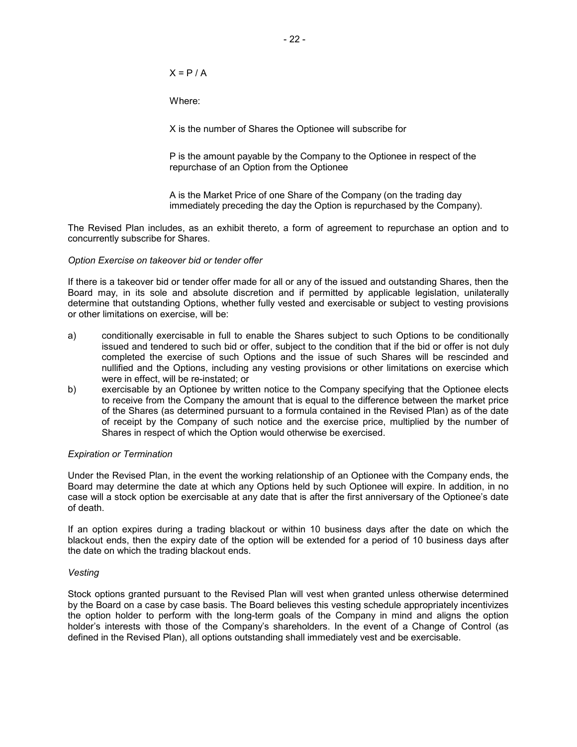$X = P / A$ 

Where:

X is the number of Shares the Optionee will subscribe for

P is the amount payable by the Company to the Optionee in respect of the repurchase of an Option from the Optionee

A is the Market Price of one Share of the Company (on the trading day immediately preceding the day the Option is repurchased by the Company).

The Revised Plan includes, as an exhibit thereto, a form of agreement to repurchase an option and to concurrently subscribe for Shares.

#### *Option Exercise on takeover bid or tender offer*

If there is a takeover bid or tender offer made for all or any of the issued and outstanding Shares, then the Board may, in its sole and absolute discretion and if permitted by applicable legislation, unilaterally determine that outstanding Options, whether fully vested and exercisable or subject to vesting provisions or other limitations on exercise, will be:

- a) conditionally exercisable in full to enable the Shares subject to such Options to be conditionally issued and tendered to such bid or offer, subject to the condition that if the bid or offer is not duly completed the exercise of such Options and the issue of such Shares will be rescinded and nullified and the Options, including any vesting provisions or other limitations on exercise which were in effect, will be re-instated; or
- b) exercisable by an Optionee by written notice to the Company specifying that the Optionee elects to receive from the Company the amount that is equal to the difference between the market price of the Shares (as determined pursuant to a formula contained in the Revised Plan) as of the date of receipt by the Company of such notice and the exercise price, multiplied by the number of Shares in respect of which the Option would otherwise be exercised.

## *Expiration or Termination*

Under the Revised Plan, in the event the working relationship of an Optionee with the Company ends, the Board may determine the date at which any Options held by such Optionee will expire. In addition, in no case will a stock option be exercisable at any date that is after the first anniversary of the Optionee's date of death.

If an option expires during a trading blackout or within 10 business days after the date on which the blackout ends, then the expiry date of the option will be extended for a period of 10 business days after the date on which the trading blackout ends.

## *Vesting*

Stock options granted pursuant to the Revised Plan will vest when granted unless otherwise determined by the Board on a case by case basis. The Board believes this vesting schedule appropriately incentivizes the option holder to perform with the long-term goals of the Company in mind and aligns the option holder's interests with those of the Company's shareholders. In the event of a Change of Control (as defined in the Revised Plan), all options outstanding shall immediately vest and be exercisable.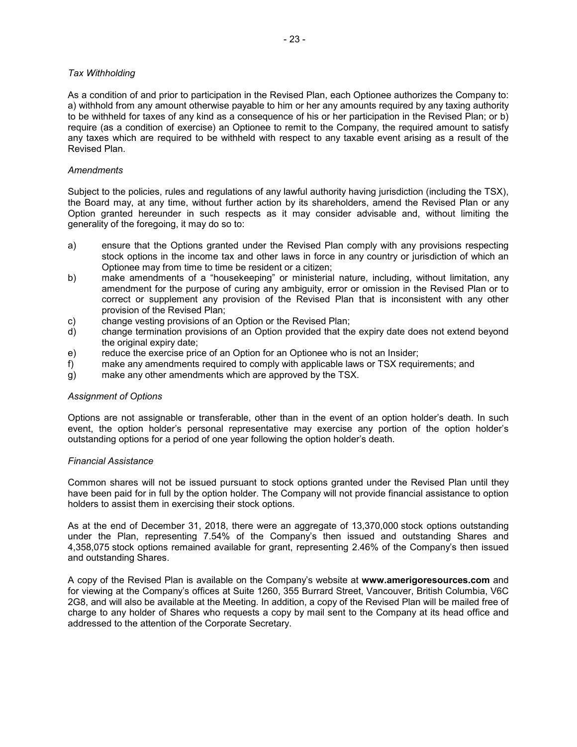## *Tax Withholding*

As a condition of and prior to participation in the Revised Plan, each Optionee authorizes the Company to: a) withhold from any amount otherwise payable to him or her any amounts required by any taxing authority to be withheld for taxes of any kind as a consequence of his or her participation in the Revised Plan; or b) require (as a condition of exercise) an Optionee to remit to the Company, the required amount to satisfy any taxes which are required to be withheld with respect to any taxable event arising as a result of the Revised Plan.

## *Amendments*

Subject to the policies, rules and regulations of any lawful authority having jurisdiction (including the TSX), the Board may, at any time, without further action by its shareholders, amend the Revised Plan or any Option granted hereunder in such respects as it may consider advisable and, without limiting the generality of the foregoing, it may do so to:

- a) ensure that the Options granted under the Revised Plan comply with any provisions respecting stock options in the income tax and other laws in force in any country or jurisdiction of which an Optionee may from time to time be resident or a citizen;
- b) make amendments of a "housekeeping" or ministerial nature, including, without limitation, any amendment for the purpose of curing any ambiguity, error or omission in the Revised Plan or to correct or supplement any provision of the Revised Plan that is inconsistent with any other provision of the Revised Plan;
- c) change vesting provisions of an Option or the Revised Plan;
- d) change termination provisions of an Option provided that the expiry date does not extend beyond the original expiry date;
- e) reduce the exercise price of an Option for an Optionee who is not an Insider;
- f) make any amendments required to comply with applicable laws or TSX requirements; and
- g) make any other amendments which are approved by the TSX.

#### *Assignment of Options*

Options are not assignable or transferable, other than in the event of an option holder's death. In such event, the option holder's personal representative may exercise any portion of the option holder's outstanding options for a period of one year following the option holder's death.

#### *Financial Assistance*

Common shares will not be issued pursuant to stock options granted under the Revised Plan until they have been paid for in full by the option holder. The Company will not provide financial assistance to option holders to assist them in exercising their stock options.

As at the end of December 31, 2018, there were an aggregate of 13,370,000 stock options outstanding under the Plan, representing 7.54% of the Company's then issued and outstanding Shares and 4,358,075 stock options remained available for grant, representing 2.46% of the Company's then issued and outstanding Shares.

A copy of the Revised Plan is available on the Company's website at **www.amerigoresources.com** and for viewing at the Company's offices at Suite 1260, 355 Burrard Street, Vancouver, British Columbia, V6C 2G8, and will also be available at the Meeting. In addition, a copy of the Revised Plan will be mailed free of charge to any holder of Shares who requests a copy by mail sent to the Company at its head office and addressed to the attention of the Corporate Secretary.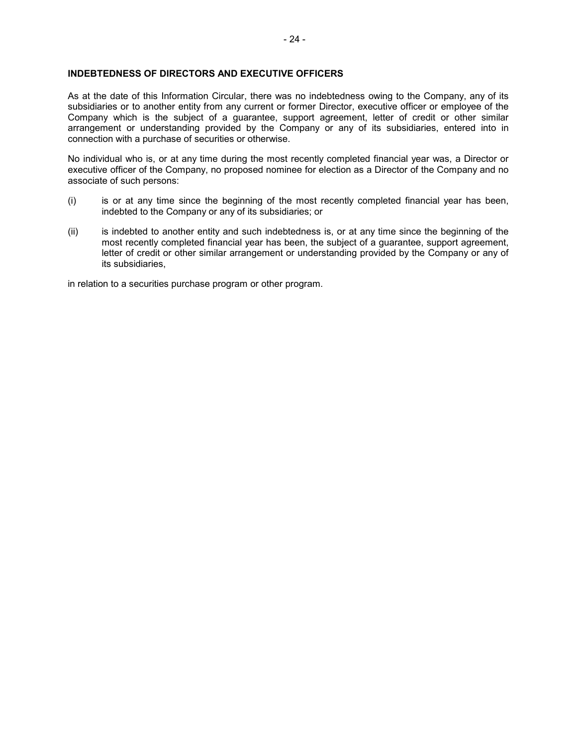## **INDEBTEDNESS OF DIRECTORS AND EXECUTIVE OFFICERS**

As at the date of this Information Circular, there was no indebtedness owing to the Company, any of its subsidiaries or to another entity from any current or former Director, executive officer or employee of the Company which is the subject of a guarantee, support agreement, letter of credit or other similar arrangement or understanding provided by the Company or any of its subsidiaries, entered into in connection with a purchase of securities or otherwise.

No individual who is, or at any time during the most recently completed financial year was, a Director or executive officer of the Company, no proposed nominee for election as a Director of the Company and no associate of such persons:

- (i) is or at any time since the beginning of the most recently completed financial year has been, indebted to the Company or any of its subsidiaries; or
- (ii) is indebted to another entity and such indebtedness is, or at any time since the beginning of the most recently completed financial year has been, the subject of a guarantee, support agreement, letter of credit or other similar arrangement or understanding provided by the Company or any of its subsidiaries,

in relation to a securities purchase program or other program.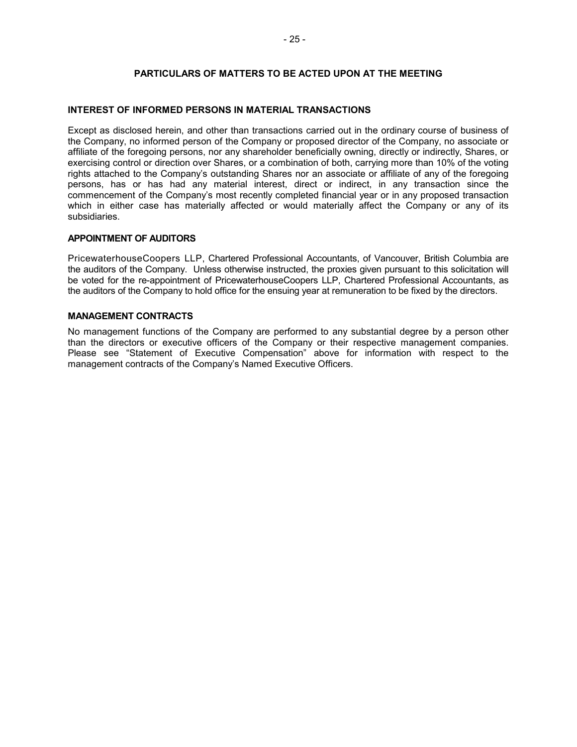## **PARTICULARS OF MATTERS TO BE ACTED UPON AT THE MEETING**

## **INTEREST OF INFORMED PERSONS IN MATERIAL TRANSACTIONS**

Except as disclosed herein, and other than transactions carried out in the ordinary course of business of the Company, no informed person of the Company or proposed director of the Company, no associate or affiliate of the foregoing persons, nor any shareholder beneficially owning, directly or indirectly, Shares, or exercising control or direction over Shares, or a combination of both, carrying more than 10% of the voting rights attached to the Company's outstanding Shares nor an associate or affiliate of any of the foregoing persons, has or has had any material interest, direct or indirect, in any transaction since the commencement of the Company's most recently completed financial year or in any proposed transaction which in either case has materially affected or would materially affect the Company or any of its subsidiaries.

## **APPOINTMENT OF AUDITORS**

PricewaterhouseCoopers LLP, Chartered Professional Accountants, of Vancouver, British Columbia are the auditors of the Company. Unless otherwise instructed, the proxies given pursuant to this solicitation will be voted for the re-appointment of PricewaterhouseCoopers LLP, Chartered Professional Accountants, as the auditors of the Company to hold office for the ensuing year at remuneration to be fixed by the directors.

## **MANAGEMENT CONTRACTS**

No management functions of the Company are performed to any substantial degree by a person other than the directors or executive officers of the Company or their respective management companies. Please see "Statement of Executive Compensation" above for information with respect to the management contracts of the Company's Named Executive Officers.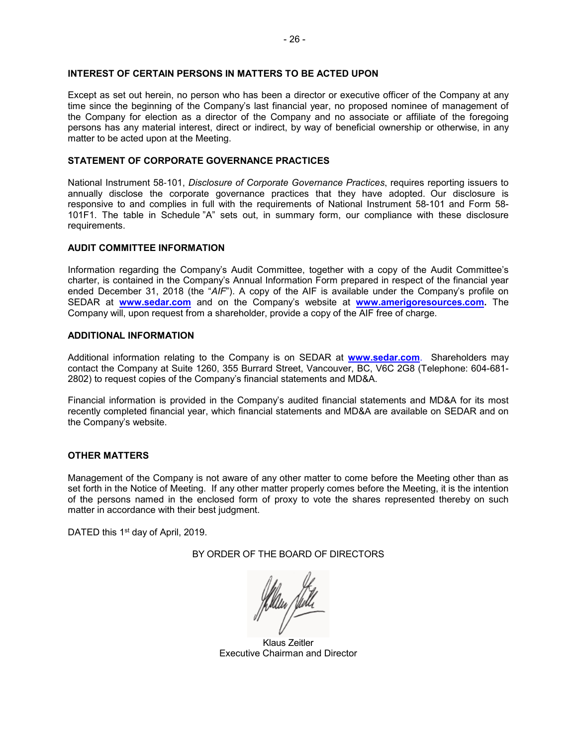## **INTEREST OF CERTAIN PERSONS IN MATTERS TO BE ACTED UPON**

Except as set out herein, no person who has been a director or executive officer of the Company at any time since the beginning of the Company's last financial year, no proposed nominee of management of the Company for election as a director of the Company and no associate or affiliate of the foregoing persons has any material interest, direct or indirect, by way of beneficial ownership or otherwise, in any matter to be acted upon at the Meeting.

## **STATEMENT OF CORPORATE GOVERNANCE PRACTICES**

National Instrument 58‐101, *Disclosure of Corporate Governance Practices*, requires reporting issuers to annually disclose the corporate governance practices that they have adopted. Our disclosure is responsive to and complies in full with the requirements of National Instrument 58-101 and Form 58- 101F1. The table in Schedule "A" sets out, in summary form, our compliance with these disclosure requirements.

## **AUDIT COMMITTEE INFORMATION**

Information regarding the Company's Audit Committee, together with a copy of the Audit Committee's charter, is contained in the Company's Annual Information Form prepared in respect of the financial year ended December 31, 2018 (the "*AIF*"). A copy of the AIF is available under the Company's profile on SEDAR at **[www.sedar.com](http://www.sedar.com/)** and on the Company's website at **[www.amerigoresources.com.](http://www.amerigoresources.com/)** The Company will, upon request from a shareholder, provide a copy of the AIF free of charge.

## **ADDITIONAL INFORMATION**

Additional information relating to the Company is on SEDAR at **[www.sedar.com](http://www.sedar.com/)**. Shareholders may contact the Company at Suite 1260, 355 Burrard Street, Vancouver, BC, V6C 2G8 (Telephone: 604-681- 2802) to request copies of the Company's financial statements and MD&A.

Financial information is provided in the Company's audited financial statements and MD&A for its most recently completed financial year, which financial statements and MD&A are available on SEDAR and on the Company's website.

## **OTHER MATTERS**

Management of the Company is not aware of any other matter to come before the Meeting other than as set forth in the Notice of Meeting. If any other matter properly comes before the Meeting, it is the intention of the persons named in the enclosed form of proxy to vote the shares represented thereby on such matter in accordance with their best judgment.

DATED this 1<sup>st</sup> day of April, 2019.

BY ORDER OF THE BOARD OF DIRECTORS

Klaus Zeitler Executive Chairman and Director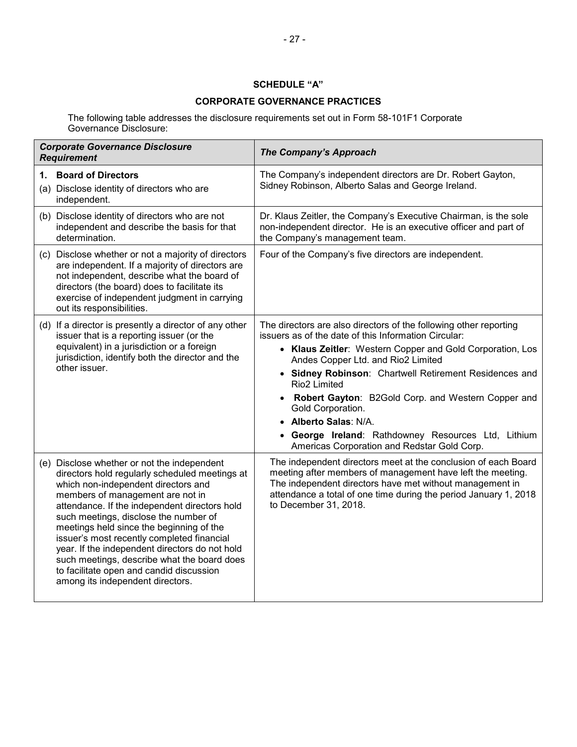## **SCHEDULE "A"**

## **CORPORATE GOVERNANCE PRACTICES**

The following table addresses the disclosure requirements set out in Form 58-101F1 Corporate Governance Disclosure:

| <b>Corporate Governance Disclosure</b><br><b>Requirement</b>                                                                                                                                                                                                                                                                                                                                                                                                                                                                                  | <b>The Company's Approach</b>                                                                                                                                                                                                                                                                                                                                                                                                                                                                                                |
|-----------------------------------------------------------------------------------------------------------------------------------------------------------------------------------------------------------------------------------------------------------------------------------------------------------------------------------------------------------------------------------------------------------------------------------------------------------------------------------------------------------------------------------------------|------------------------------------------------------------------------------------------------------------------------------------------------------------------------------------------------------------------------------------------------------------------------------------------------------------------------------------------------------------------------------------------------------------------------------------------------------------------------------------------------------------------------------|
| <b>Board of Directors</b><br>1.<br>(a) Disclose identity of directors who are<br>independent.                                                                                                                                                                                                                                                                                                                                                                                                                                                 | The Company's independent directors are Dr. Robert Gayton,<br>Sidney Robinson, Alberto Salas and George Ireland.                                                                                                                                                                                                                                                                                                                                                                                                             |
| (b) Disclose identity of directors who are not<br>independent and describe the basis for that<br>determination.                                                                                                                                                                                                                                                                                                                                                                                                                               | Dr. Klaus Zeitler, the Company's Executive Chairman, is the sole<br>non-independent director. He is an executive officer and part of<br>the Company's management team.                                                                                                                                                                                                                                                                                                                                                       |
| (c) Disclose whether or not a majority of directors<br>are independent. If a majority of directors are<br>not independent, describe what the board of<br>directors (the board) does to facilitate its<br>exercise of independent judgment in carrying<br>out its responsibilities.                                                                                                                                                                                                                                                            | Four of the Company's five directors are independent.                                                                                                                                                                                                                                                                                                                                                                                                                                                                        |
| (d) If a director is presently a director of any other<br>issuer that is a reporting issuer (or the<br>equivalent) in a jurisdiction or a foreign<br>jurisdiction, identify both the director and the<br>other issuer.                                                                                                                                                                                                                                                                                                                        | The directors are also directors of the following other reporting<br>issuers as of the date of this Information Circular:<br>• Klaus Zeitler: Western Copper and Gold Corporation, Los<br>Andes Copper Ltd. and Rio2 Limited<br>• Sidney Robinson: Chartwell Retirement Residences and<br>Rio <sub>2</sub> Limited<br>Robert Gayton: B2Gold Corp. and Western Copper and<br>Gold Corporation.<br>• Alberto Salas: N/A.<br>• George Ireland: Rathdowney Resources Ltd, Lithium<br>Americas Corporation and Redstar Gold Corp. |
| (e) Disclose whether or not the independent<br>directors hold regularly scheduled meetings at<br>which non-independent directors and<br>members of management are not in<br>attendance. If the independent directors hold<br>such meetings, disclose the number of<br>meetings held since the beginning of the<br>issuer's most recently completed financial<br>year. If the independent directors do not hold<br>such meetings, describe what the board does<br>to facilitate open and candid discussion<br>among its independent directors. | The independent directors meet at the conclusion of each Board<br>meeting after members of management have left the meeting.<br>The independent directors have met without management in<br>attendance a total of one time during the period January 1, 2018<br>to December 31, 2018.                                                                                                                                                                                                                                        |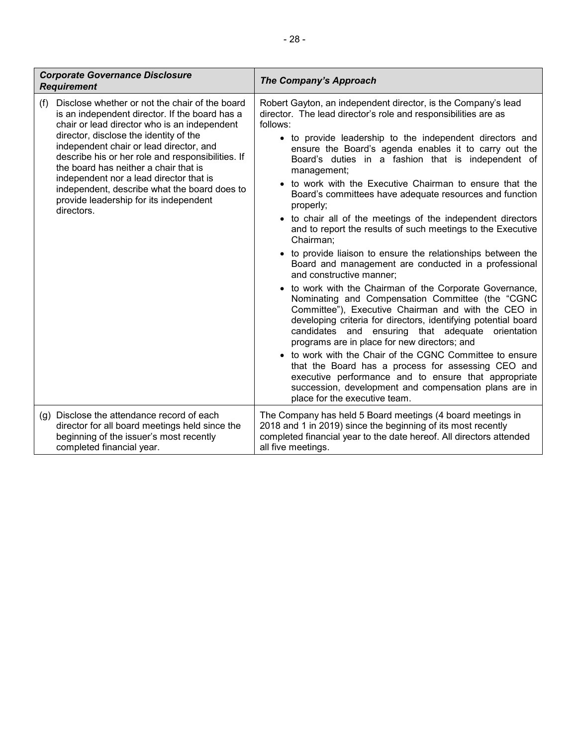| <b>Corporate Governance Disclosure</b><br><b>Requirement</b>                                                                                                                                                                                                                                                                                                                                                                                                                                  | <b>The Company's Approach</b>                                                                                                                                                                                                                                                                                                                                                                                                                                                                                                                                                                                                                                                                                                                                                                                                                                                                                                                                                                                                                                                                                                                                                                                                                                                                                                                                                                 |
|-----------------------------------------------------------------------------------------------------------------------------------------------------------------------------------------------------------------------------------------------------------------------------------------------------------------------------------------------------------------------------------------------------------------------------------------------------------------------------------------------|-----------------------------------------------------------------------------------------------------------------------------------------------------------------------------------------------------------------------------------------------------------------------------------------------------------------------------------------------------------------------------------------------------------------------------------------------------------------------------------------------------------------------------------------------------------------------------------------------------------------------------------------------------------------------------------------------------------------------------------------------------------------------------------------------------------------------------------------------------------------------------------------------------------------------------------------------------------------------------------------------------------------------------------------------------------------------------------------------------------------------------------------------------------------------------------------------------------------------------------------------------------------------------------------------------------------------------------------------------------------------------------------------|
| Disclose whether or not the chair of the board<br>(f)<br>is an independent director. If the board has a<br>chair or lead director who is an independent<br>director, disclose the identity of the<br>independent chair or lead director, and<br>describe his or her role and responsibilities. If<br>the board has neither a chair that is<br>independent nor a lead director that is<br>independent, describe what the board does to<br>provide leadership for its independent<br>directors. | Robert Gayton, an independent director, is the Company's lead<br>director. The lead director's role and responsibilities are as<br>follows:<br>• to provide leadership to the independent directors and<br>ensure the Board's agenda enables it to carry out the<br>Board's duties in a fashion that is independent of<br>management;<br>• to work with the Executive Chairman to ensure that the<br>Board's committees have adequate resources and function<br>properly;<br>• to chair all of the meetings of the independent directors<br>and to report the results of such meetings to the Executive<br>Chairman;<br>• to provide liaison to ensure the relationships between the<br>Board and management are conducted in a professional<br>and constructive manner;<br>• to work with the Chairman of the Corporate Governance,<br>Nominating and Compensation Committee (the "CGNC<br>Committee"), Executive Chairman and with the CEO in<br>developing criteria for directors, identifying potential board<br>candidates and ensuring that adequate<br>orientation<br>programs are in place for new directors; and<br>• to work with the Chair of the CGNC Committee to ensure<br>that the Board has a process for assessing CEO and<br>executive performance and to ensure that appropriate<br>succession, development and compensation plans are in<br>place for the executive team. |
| (g) Disclose the attendance record of each<br>director for all board meetings held since the<br>beginning of the issuer's most recently<br>completed financial year.                                                                                                                                                                                                                                                                                                                          | The Company has held 5 Board meetings (4 board meetings in<br>2018 and 1 in 2019) since the beginning of its most recently<br>completed financial year to the date hereof. All directors attended<br>all five meetings.                                                                                                                                                                                                                                                                                                                                                                                                                                                                                                                                                                                                                                                                                                                                                                                                                                                                                                                                                                                                                                                                                                                                                                       |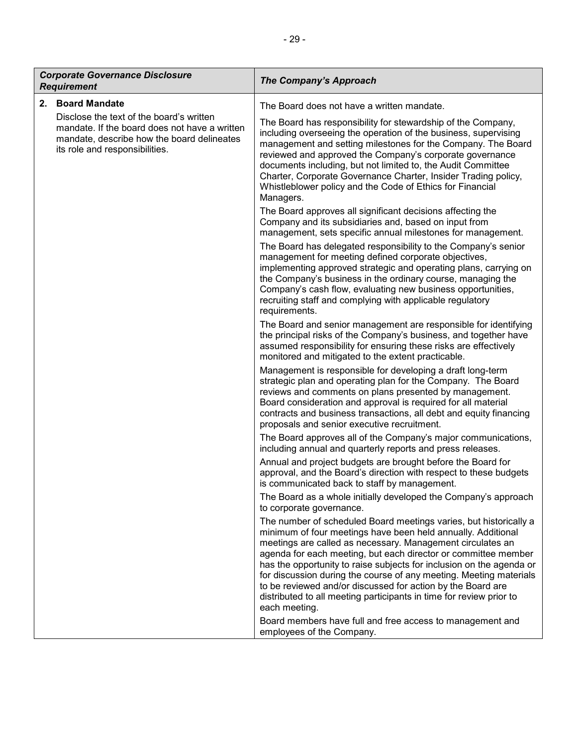| - 29 -                                                                                                                                                                                        |                                                                                                                                                                                                                                                                                                                                                                                                                                                                                                                                                                                                                                              |  |
|-----------------------------------------------------------------------------------------------------------------------------------------------------------------------------------------------|----------------------------------------------------------------------------------------------------------------------------------------------------------------------------------------------------------------------------------------------------------------------------------------------------------------------------------------------------------------------------------------------------------------------------------------------------------------------------------------------------------------------------------------------------------------------------------------------------------------------------------------------|--|
| <b>Corporate Governance Disclosure</b><br>Requirement                                                                                                                                         | The Company's Approach                                                                                                                                                                                                                                                                                                                                                                                                                                                                                                                                                                                                                       |  |
| 2. Board Mandate<br>Disclose the text of the board's written<br>mandate. If the board does not have a written<br>mandate, describe how the board delineates<br>its role and responsibilities. | The Board does not have a written mandate.<br>The Board has responsibility for stewardship of the Company,<br>including overseeing the operation of the business, supervising<br>management and setting milestones for the Company. The Board<br>reviewed and approved the Company's corporate governance<br>documents including, but not limited to, the Audit Committee<br>Charter, Corporate Governance Charter, Insider Trading policy,<br>Whistleblower policy and the Code of Ethics for Financial<br>Managers.<br>The Board approves all significant decisions affecting the<br>Company and its subsidiaries and, based on input from |  |

management, sets specific annual milestones for management. The Board has delegated responsibility to the Company's senior management for meeting defined corporate objectives, implementing approved strategic and operating plans, carrying on the Company's business in the ordinary course, managing the Company's cash flow, evaluating new business opportunities, recruiting staff and complying with applicable regulatory requirements.

The Board and senior management are responsible for identifying the principal risks of the Company's business, and together have assumed responsibility for ensuring these risks are effectively monitored and mitigated to the extent practicable.

Management is responsible for developing a draft long-term strategic plan and operating plan for the Company. The Board reviews and comments on plans presented by management. Board consideration and approval is required for all material contracts and business transactions, all debt and equity financing proposals and senior executive recruitment.

The Board approves all of the Company's major communications, including annual and quarterly reports and press releases.

Annual and project budgets are brought before the Board for approval, and the Board's direction with respect to these budgets is communicated back to staff by management.

The Board as a whole initially developed the Company's approach to corporate governance.

The number of scheduled Board meetings varies, but historically a minimum of four meetings have been held annually. Additional meetings are called as necessary. Management circulates an agenda for each meeting, but each director or committee member has the opportunity to raise subjects for inclusion on the agenda or for discussion during the course of any meeting. Meeting materials to be reviewed and/or discussed for action by the Board are distributed to all meeting participants in time for review prior to each meeting.

Board members have full and free access to management and employees of the Company.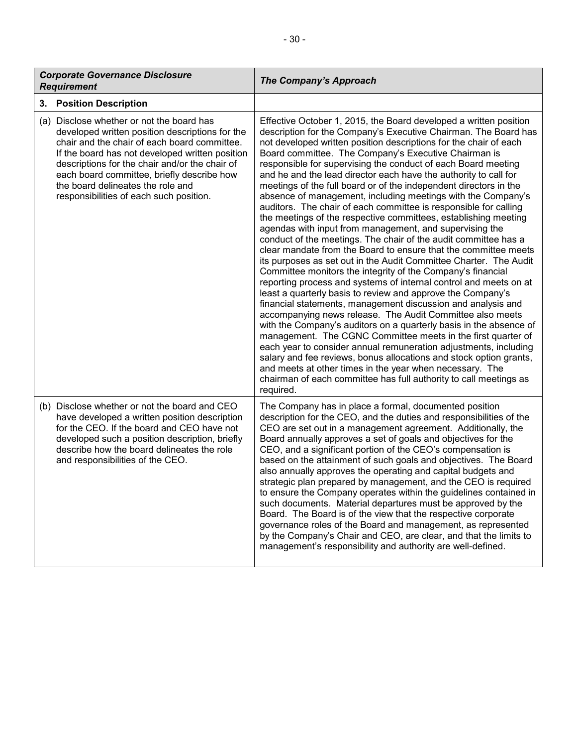| <b>Corporate Governance Disclosure</b><br><b>Requirement</b> |                                                                                                                                                                                                                                                                                                                                                                                 | <b>The Company's Approach</b>                                                                                                                                                                                                                                                                                                                                                                                                                                                                                                                                                                                                                                                                                                                                                                                                                                                                                                                                                                                                                                                                                                                                                                                                                                                                                                                                                                                                                                                                                                                                                                                                                                                                                          |
|--------------------------------------------------------------|---------------------------------------------------------------------------------------------------------------------------------------------------------------------------------------------------------------------------------------------------------------------------------------------------------------------------------------------------------------------------------|------------------------------------------------------------------------------------------------------------------------------------------------------------------------------------------------------------------------------------------------------------------------------------------------------------------------------------------------------------------------------------------------------------------------------------------------------------------------------------------------------------------------------------------------------------------------------------------------------------------------------------------------------------------------------------------------------------------------------------------------------------------------------------------------------------------------------------------------------------------------------------------------------------------------------------------------------------------------------------------------------------------------------------------------------------------------------------------------------------------------------------------------------------------------------------------------------------------------------------------------------------------------------------------------------------------------------------------------------------------------------------------------------------------------------------------------------------------------------------------------------------------------------------------------------------------------------------------------------------------------------------------------------------------------------------------------------------------------|
|                                                              | 3. Position Description                                                                                                                                                                                                                                                                                                                                                         |                                                                                                                                                                                                                                                                                                                                                                                                                                                                                                                                                                                                                                                                                                                                                                                                                                                                                                                                                                                                                                                                                                                                                                                                                                                                                                                                                                                                                                                                                                                                                                                                                                                                                                                        |
|                                                              | (a) Disclose whether or not the board has<br>developed written position descriptions for the<br>chair and the chair of each board committee.<br>If the board has not developed written position<br>descriptions for the chair and/or the chair of<br>each board committee, briefly describe how<br>the board delineates the role and<br>responsibilities of each such position. | Effective October 1, 2015, the Board developed a written position<br>description for the Company's Executive Chairman. The Board has<br>not developed written position descriptions for the chair of each<br>Board committee. The Company's Executive Chairman is<br>responsible for supervising the conduct of each Board meeting<br>and he and the lead director each have the authority to call for<br>meetings of the full board or of the independent directors in the<br>absence of management, including meetings with the Company's<br>auditors. The chair of each committee is responsible for calling<br>the meetings of the respective committees, establishing meeting<br>agendas with input from management, and supervising the<br>conduct of the meetings. The chair of the audit committee has a<br>clear mandate from the Board to ensure that the committee meets<br>its purposes as set out in the Audit Committee Charter. The Audit<br>Committee monitors the integrity of the Company's financial<br>reporting process and systems of internal control and meets on at<br>least a quarterly basis to review and approve the Company's<br>financial statements, management discussion and analysis and<br>accompanying news release. The Audit Committee also meets<br>with the Company's auditors on a quarterly basis in the absence of<br>management. The CGNC Committee meets in the first quarter of<br>each year to consider annual remuneration adjustments, including<br>salary and fee reviews, bonus allocations and stock option grants,<br>and meets at other times in the year when necessary. The<br>chairman of each committee has full authority to call meetings as<br>required. |
|                                                              | (b) Disclose whether or not the board and CEO<br>have developed a written position description<br>for the CEO. If the board and CEO have not<br>developed such a position description, briefly<br>describe how the board delineates the role<br>and responsibilities of the CEO.                                                                                                | The Company has in place a formal, documented position<br>description for the CEO, and the duties and responsibilities of the<br>CEO are set out in a management agreement. Additionally, the<br>Board annually approves a set of goals and objectives for the<br>CEO, and a significant portion of the CEO's compensation is<br>based on the attainment of such goals and objectives. The Board<br>also annually approves the operating and capital budgets and<br>strategic plan prepared by management, and the CEO is required<br>to ensure the Company operates within the guidelines contained in<br>such documents. Material departures must be approved by the<br>Board. The Board is of the view that the respective corporate<br>governance roles of the Board and management, as represented<br>by the Company's Chair and CEO, are clear, and that the limits to<br>management's responsibility and authority are well-defined.                                                                                                                                                                                                                                                                                                                                                                                                                                                                                                                                                                                                                                                                                                                                                                            |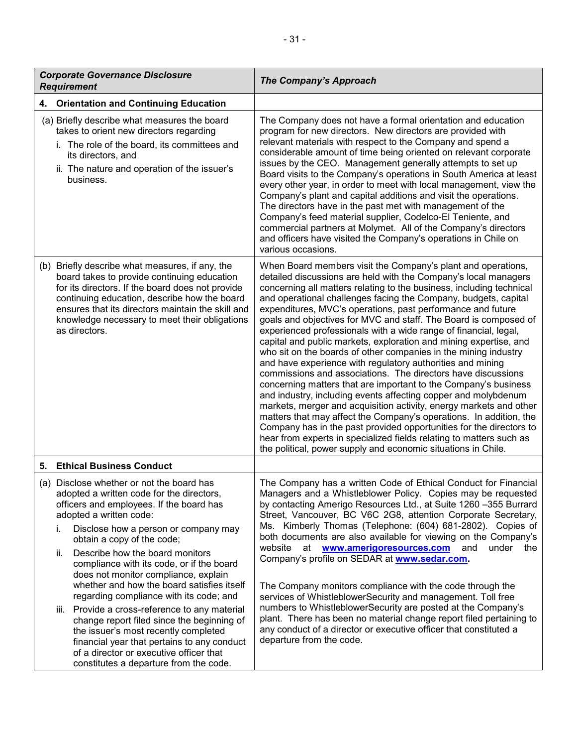| <b>Corporate Governance Disclosure</b><br><b>Requirement</b>                                                                                                                                                                                                                                                                                                                                                                                                                                                                                                                                                                                                                                                                                  | The Company's Approach                                                                                                                                                                                                                                                                                                                                                                                                                                                                                                                                                                                                                                                                                                                                                                                                                                                                                                                                                                                                                                                                                                                                                                                                                                  |
|-----------------------------------------------------------------------------------------------------------------------------------------------------------------------------------------------------------------------------------------------------------------------------------------------------------------------------------------------------------------------------------------------------------------------------------------------------------------------------------------------------------------------------------------------------------------------------------------------------------------------------------------------------------------------------------------------------------------------------------------------|---------------------------------------------------------------------------------------------------------------------------------------------------------------------------------------------------------------------------------------------------------------------------------------------------------------------------------------------------------------------------------------------------------------------------------------------------------------------------------------------------------------------------------------------------------------------------------------------------------------------------------------------------------------------------------------------------------------------------------------------------------------------------------------------------------------------------------------------------------------------------------------------------------------------------------------------------------------------------------------------------------------------------------------------------------------------------------------------------------------------------------------------------------------------------------------------------------------------------------------------------------|
| <b>Orientation and Continuing Education</b><br>4.                                                                                                                                                                                                                                                                                                                                                                                                                                                                                                                                                                                                                                                                                             |                                                                                                                                                                                                                                                                                                                                                                                                                                                                                                                                                                                                                                                                                                                                                                                                                                                                                                                                                                                                                                                                                                                                                                                                                                                         |
| (a) Briefly describe what measures the board<br>takes to orient new directors regarding<br>i. The role of the board, its committees and<br>its directors, and<br>ii. The nature and operation of the issuer's<br>business.                                                                                                                                                                                                                                                                                                                                                                                                                                                                                                                    | The Company does not have a formal orientation and education<br>program for new directors. New directors are provided with<br>relevant materials with respect to the Company and spend a<br>considerable amount of time being oriented on relevant corporate<br>issues by the CEO. Management generally attempts to set up<br>Board visits to the Company's operations in South America at least<br>every other year, in order to meet with local management, view the<br>Company's plant and capital additions and visit the operations.<br>The directors have in the past met with management of the<br>Company's feed material supplier, Codelco-El Teniente, and<br>commercial partners at Molymet. All of the Company's directors<br>and officers have visited the Company's operations in Chile on<br>various occasions.                                                                                                                                                                                                                                                                                                                                                                                                                          |
| (b) Briefly describe what measures, if any, the<br>board takes to provide continuing education<br>for its directors. If the board does not provide<br>continuing education, describe how the board<br>ensures that its directors maintain the skill and<br>knowledge necessary to meet their obligations<br>as directors.                                                                                                                                                                                                                                                                                                                                                                                                                     | When Board members visit the Company's plant and operations,<br>detailed discussions are held with the Company's local managers<br>concerning all matters relating to the business, including technical<br>and operational challenges facing the Company, budgets, capital<br>expenditures, MVC's operations, past performance and future<br>goals and objectives for MVC and staff. The Board is composed of<br>experienced professionals with a wide range of financial, legal,<br>capital and public markets, exploration and mining expertise, and<br>who sit on the boards of other companies in the mining industry<br>and have experience with regulatory authorities and mining<br>commissions and associations. The directors have discussions<br>concerning matters that are important to the Company's business<br>and industry, including events affecting copper and molybdenum<br>markets, merger and acquisition activity, energy markets and other<br>matters that may affect the Company's operations. In addition, the<br>Company has in the past provided opportunities for the directors to<br>hear from experts in specialized fields relating to matters such as<br>the political, power supply and economic situations in Chile. |
| <b>Ethical Business Conduct</b><br>5.                                                                                                                                                                                                                                                                                                                                                                                                                                                                                                                                                                                                                                                                                                         |                                                                                                                                                                                                                                                                                                                                                                                                                                                                                                                                                                                                                                                                                                                                                                                                                                                                                                                                                                                                                                                                                                                                                                                                                                                         |
| (a) Disclose whether or not the board has<br>adopted a written code for the directors,<br>officers and employees. If the board has<br>adopted a written code:<br>i.<br>Disclose how a person or company may<br>obtain a copy of the code;<br>Describe how the board monitors<br>ii.<br>compliance with its code, or if the board<br>does not monitor compliance, explain<br>whether and how the board satisfies itself<br>regarding compliance with its code; and<br>iii. Provide a cross-reference to any material<br>change report filed since the beginning of<br>the issuer's most recently completed<br>financial year that pertains to any conduct<br>of a director or executive officer that<br>constitutes a departure from the code. | The Company has a written Code of Ethical Conduct for Financial<br>Managers and a Whistleblower Policy. Copies may be requested<br>by contacting Amerigo Resources Ltd., at Suite 1260 -355 Burrard<br>Street, Vancouver, BC V6C 2G8, attention Corporate Secretary,<br>Ms. Kimberly Thomas (Telephone: (604) 681-2802). Copies of<br>both documents are also available for viewing on the Company's<br>website at<br>www.amerigoresources.com<br>and<br>under the<br>Company's profile on SEDAR at <b>www.sedar.com.</b><br>The Company monitors compliance with the code through the<br>services of WhistleblowerSecurity and management. Toll free<br>numbers to WhistleblowerSecurity are posted at the Company's<br>plant. There has been no material change report filed pertaining to<br>any conduct of a director or executive officer that constituted a<br>departure from the code.                                                                                                                                                                                                                                                                                                                                                           |

 $\mathbf{I}$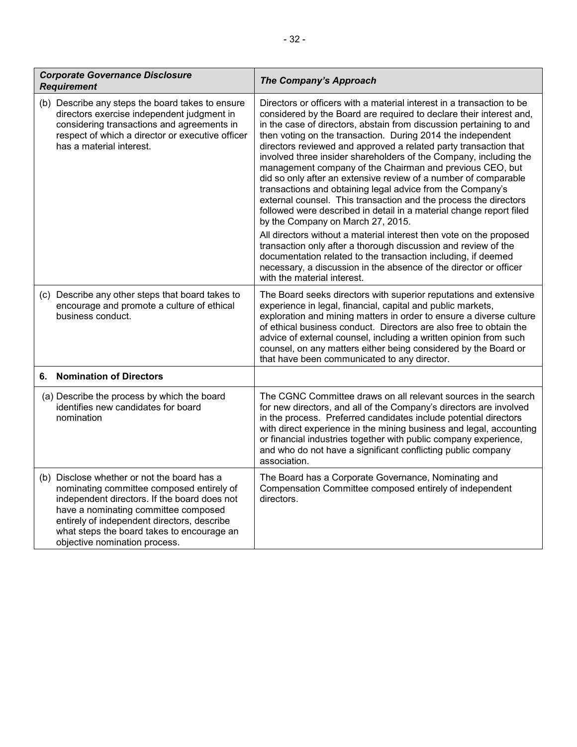| <b>Corporate Governance Disclosure</b><br><b>Requirement</b>                                                                                                                                                                                                                                                   | <b>The Company's Approach</b>                                                                                                                                                                                                                                                                                                                                                                                                                                                                                                                                                                                                                                                                                                                                                                                                                                                                                                                                                                                                                                                                                          |
|----------------------------------------------------------------------------------------------------------------------------------------------------------------------------------------------------------------------------------------------------------------------------------------------------------------|------------------------------------------------------------------------------------------------------------------------------------------------------------------------------------------------------------------------------------------------------------------------------------------------------------------------------------------------------------------------------------------------------------------------------------------------------------------------------------------------------------------------------------------------------------------------------------------------------------------------------------------------------------------------------------------------------------------------------------------------------------------------------------------------------------------------------------------------------------------------------------------------------------------------------------------------------------------------------------------------------------------------------------------------------------------------------------------------------------------------|
| (b) Describe any steps the board takes to ensure<br>directors exercise independent judgment in<br>considering transactions and agreements in<br>respect of which a director or executive officer<br>has a material interest.                                                                                   | Directors or officers with a material interest in a transaction to be<br>considered by the Board are required to declare their interest and,<br>in the case of directors, abstain from discussion pertaining to and<br>then voting on the transaction. During 2014 the independent<br>directors reviewed and approved a related party transaction that<br>involved three insider shareholders of the Company, including the<br>management company of the Chairman and previous CEO, but<br>did so only after an extensive review of a number of comparable<br>transactions and obtaining legal advice from the Company's<br>external counsel. This transaction and the process the directors<br>followed were described in detail in a material change report filed<br>by the Company on March 27, 2015.<br>All directors without a material interest then vote on the proposed<br>transaction only after a thorough discussion and review of the<br>documentation related to the transaction including, if deemed<br>necessary, a discussion in the absence of the director or officer<br>with the material interest. |
| (c) Describe any other steps that board takes to<br>encourage and promote a culture of ethical<br>business conduct.                                                                                                                                                                                            | The Board seeks directors with superior reputations and extensive<br>experience in legal, financial, capital and public markets,<br>exploration and mining matters in order to ensure a diverse culture<br>of ethical business conduct. Directors are also free to obtain the<br>advice of external counsel, including a written opinion from such<br>counsel, on any matters either being considered by the Board or<br>that have been communicated to any director.                                                                                                                                                                                                                                                                                                                                                                                                                                                                                                                                                                                                                                                  |
| <b>Nomination of Directors</b><br>6.                                                                                                                                                                                                                                                                           |                                                                                                                                                                                                                                                                                                                                                                                                                                                                                                                                                                                                                                                                                                                                                                                                                                                                                                                                                                                                                                                                                                                        |
| (a) Describe the process by which the board<br>identifies new candidates for board<br>nomination                                                                                                                                                                                                               | The CGNC Committee draws on all relevant sources in the search<br>for new directors, and all of the Company's directors are involved<br>in the process. Preferred candidates include potential directors<br>with direct experience in the mining business and legal, accounting<br>or financial industries together with public company experience,<br>and who do not have a significant conflicting public company<br>association.                                                                                                                                                                                                                                                                                                                                                                                                                                                                                                                                                                                                                                                                                    |
| (b) Disclose whether or not the board has a<br>nominating committee composed entirely of<br>independent directors. If the board does not<br>have a nominating committee composed<br>entirely of independent directors, describe<br>what steps the board takes to encourage an<br>objective nomination process. | The Board has a Corporate Governance, Nominating and<br>Compensation Committee composed entirely of independent<br>directors.                                                                                                                                                                                                                                                                                                                                                                                                                                                                                                                                                                                                                                                                                                                                                                                                                                                                                                                                                                                          |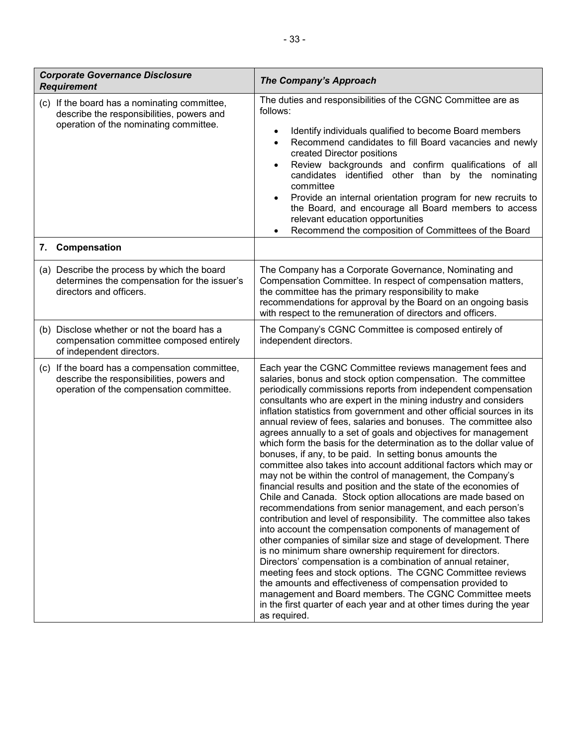| <b>Corporate Governance Disclosure</b><br><b>Requirement</b>                                                                            | <b>The Company's Approach</b>                                                                                                                                                                                                                                                                                                                                                                                                                                                                                                                                                                                                                                                                                                                                                                                                                                                                                                                                                                                                                                                                                                                                                                                                                                                                                                                                                                                                                                                                                                                                         |
|-----------------------------------------------------------------------------------------------------------------------------------------|-----------------------------------------------------------------------------------------------------------------------------------------------------------------------------------------------------------------------------------------------------------------------------------------------------------------------------------------------------------------------------------------------------------------------------------------------------------------------------------------------------------------------------------------------------------------------------------------------------------------------------------------------------------------------------------------------------------------------------------------------------------------------------------------------------------------------------------------------------------------------------------------------------------------------------------------------------------------------------------------------------------------------------------------------------------------------------------------------------------------------------------------------------------------------------------------------------------------------------------------------------------------------------------------------------------------------------------------------------------------------------------------------------------------------------------------------------------------------------------------------------------------------------------------------------------------------|
| (c) If the board has a nominating committee,<br>describe the responsibilities, powers and<br>operation of the nominating committee.     | The duties and responsibilities of the CGNC Committee are as<br>follows:<br>Identify individuals qualified to become Board members<br>$\bullet$<br>Recommend candidates to fill Board vacancies and newly<br>$\bullet$<br>created Director positions<br>Review backgrounds and confirm qualifications of all<br>$\bullet$<br>candidates identified other than by the nominating<br>committee<br>Provide an internal orientation program for new recruits to<br>$\bullet$<br>the Board, and encourage all Board members to access<br>relevant education opportunities<br>Recommend the composition of Committees of the Board<br>$\bullet$                                                                                                                                                                                                                                                                                                                                                                                                                                                                                                                                                                                                                                                                                                                                                                                                                                                                                                                             |
| 7. Compensation                                                                                                                         |                                                                                                                                                                                                                                                                                                                                                                                                                                                                                                                                                                                                                                                                                                                                                                                                                                                                                                                                                                                                                                                                                                                                                                                                                                                                                                                                                                                                                                                                                                                                                                       |
| (a) Describe the process by which the board<br>determines the compensation for the issuer's<br>directors and officers.                  | The Company has a Corporate Governance, Nominating and<br>Compensation Committee. In respect of compensation matters,<br>the committee has the primary responsibility to make<br>recommendations for approval by the Board on an ongoing basis<br>with respect to the remuneration of directors and officers.                                                                                                                                                                                                                                                                                                                                                                                                                                                                                                                                                                                                                                                                                                                                                                                                                                                                                                                                                                                                                                                                                                                                                                                                                                                         |
| (b) Disclose whether or not the board has a<br>compensation committee composed entirely<br>of independent directors.                    | The Company's CGNC Committee is composed entirely of<br>independent directors.                                                                                                                                                                                                                                                                                                                                                                                                                                                                                                                                                                                                                                                                                                                                                                                                                                                                                                                                                                                                                                                                                                                                                                                                                                                                                                                                                                                                                                                                                        |
| (c) If the board has a compensation committee,<br>describe the responsibilities, powers and<br>operation of the compensation committee. | Each year the CGNC Committee reviews management fees and<br>salaries, bonus and stock option compensation. The committee<br>periodically commissions reports from independent compensation<br>consultants who are expert in the mining industry and considers<br>inflation statistics from government and other official sources in its<br>annual review of fees, salaries and bonuses. The committee also<br>agrees annually to a set of goals and objectives for management<br>which form the basis for the determination as to the dollar value of<br>bonuses, if any, to be paid. In setting bonus amounts the<br>committee also takes into account additional factors which may or<br>may not be within the control of management, the Company's<br>financial results and position and the state of the economies of<br>Chile and Canada. Stock option allocations are made based on<br>recommendations from senior management, and each person's<br>contribution and level of responsibility. The committee also takes<br>into account the compensation components of management of<br>other companies of similar size and stage of development. There<br>is no minimum share ownership requirement for directors.<br>Directors' compensation is a combination of annual retainer,<br>meeting fees and stock options. The CGNC Committee reviews<br>the amounts and effectiveness of compensation provided to<br>management and Board members. The CGNC Committee meets<br>in the first quarter of each year and at other times during the year<br>as required. |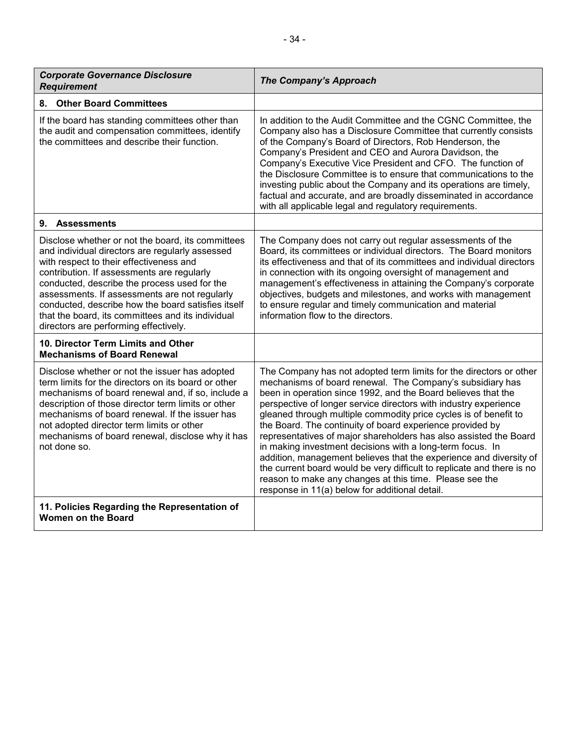| <b>Corporate Governance Disclosure</b><br><b>Requirement</b>                                                                                                                                                                                                                                                                                                                                                                                       | <b>The Company's Approach</b>                                                                                                                                                                                                                                                                                                                                                                                                                                                                                                                                                                                                                                                                                                                                                                        |
|----------------------------------------------------------------------------------------------------------------------------------------------------------------------------------------------------------------------------------------------------------------------------------------------------------------------------------------------------------------------------------------------------------------------------------------------------|------------------------------------------------------------------------------------------------------------------------------------------------------------------------------------------------------------------------------------------------------------------------------------------------------------------------------------------------------------------------------------------------------------------------------------------------------------------------------------------------------------------------------------------------------------------------------------------------------------------------------------------------------------------------------------------------------------------------------------------------------------------------------------------------------|
| <b>Other Board Committees</b><br>8.                                                                                                                                                                                                                                                                                                                                                                                                                |                                                                                                                                                                                                                                                                                                                                                                                                                                                                                                                                                                                                                                                                                                                                                                                                      |
| If the board has standing committees other than<br>the audit and compensation committees, identify<br>the committees and describe their function.                                                                                                                                                                                                                                                                                                  | In addition to the Audit Committee and the CGNC Committee, the<br>Company also has a Disclosure Committee that currently consists<br>of the Company's Board of Directors, Rob Henderson, the<br>Company's President and CEO and Aurora Davidson, the<br>Company's Executive Vice President and CFO. The function of<br>the Disclosure Committee is to ensure that communications to the<br>investing public about the Company and its operations are timely,<br>factual and accurate, and are broadly disseminated in accordance<br>with all applicable legal and regulatory requirements.                                                                                                                                                                                                           |
| 9. Assessments                                                                                                                                                                                                                                                                                                                                                                                                                                     |                                                                                                                                                                                                                                                                                                                                                                                                                                                                                                                                                                                                                                                                                                                                                                                                      |
| Disclose whether or not the board, its committees<br>and individual directors are regularly assessed<br>with respect to their effectiveness and<br>contribution. If assessments are regularly<br>conducted, describe the process used for the<br>assessments. If assessments are not regularly<br>conducted, describe how the board satisfies itself<br>that the board, its committees and its individual<br>directors are performing effectively. | The Company does not carry out regular assessments of the<br>Board, its committees or individual directors. The Board monitors<br>its effectiveness and that of its committees and individual directors<br>in connection with its ongoing oversight of management and<br>management's effectiveness in attaining the Company's corporate<br>objectives, budgets and milestones, and works with management<br>to ensure regular and timely communication and material<br>information flow to the directors.                                                                                                                                                                                                                                                                                           |
| 10. Director Term Limits and Other<br><b>Mechanisms of Board Renewal</b>                                                                                                                                                                                                                                                                                                                                                                           |                                                                                                                                                                                                                                                                                                                                                                                                                                                                                                                                                                                                                                                                                                                                                                                                      |
| Disclose whether or not the issuer has adopted<br>term limits for the directors on its board or other<br>mechanisms of board renewal and, if so, include a<br>description of those director term limits or other<br>mechanisms of board renewal. If the issuer has<br>not adopted director term limits or other<br>mechanisms of board renewal, disclose why it has<br>not done so.                                                                | The Company has not adopted term limits for the directors or other<br>mechanisms of board renewal. The Company's subsidiary has<br>been in operation since 1992, and the Board believes that the<br>perspective of longer service directors with industry experience<br>gleaned through multiple commodity price cycles is of benefit to<br>the Board. The continuity of board experience provided by<br>representatives of major shareholders has also assisted the Board<br>in making investment decisions with a long-term focus. In<br>addition, management believes that the experience and diversity of<br>the current board would be very difficult to replicate and there is no<br>reason to make any changes at this time. Please see the<br>response in 11(a) below for additional detail. |
| 11. Policies Regarding the Representation of<br><b>Women on the Board</b>                                                                                                                                                                                                                                                                                                                                                                          |                                                                                                                                                                                                                                                                                                                                                                                                                                                                                                                                                                                                                                                                                                                                                                                                      |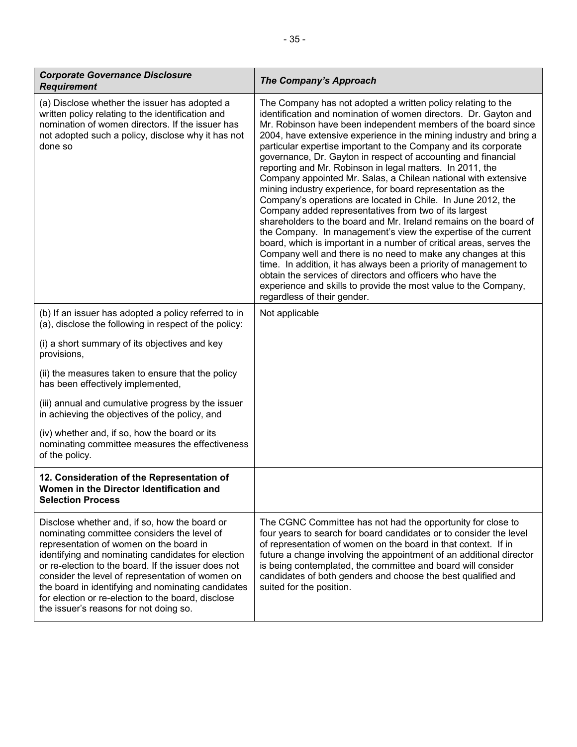| <b>Corporate Governance Disclosure</b><br><b>Requirement</b>                                                                                                                                                                                                                                                                                                                                                                                                   | <b>The Company's Approach</b>                                                                                                                                                                                                                                                                                                                                                                                                                                                                                                                                                                                                                                                                                                                                                                                                                                                                                                                                                                                                                                                                                                                                                                                                                          |
|----------------------------------------------------------------------------------------------------------------------------------------------------------------------------------------------------------------------------------------------------------------------------------------------------------------------------------------------------------------------------------------------------------------------------------------------------------------|--------------------------------------------------------------------------------------------------------------------------------------------------------------------------------------------------------------------------------------------------------------------------------------------------------------------------------------------------------------------------------------------------------------------------------------------------------------------------------------------------------------------------------------------------------------------------------------------------------------------------------------------------------------------------------------------------------------------------------------------------------------------------------------------------------------------------------------------------------------------------------------------------------------------------------------------------------------------------------------------------------------------------------------------------------------------------------------------------------------------------------------------------------------------------------------------------------------------------------------------------------|
| (a) Disclose whether the issuer has adopted a<br>written policy relating to the identification and<br>nomination of women directors. If the issuer has<br>not adopted such a policy, disclose why it has not<br>done so                                                                                                                                                                                                                                        | The Company has not adopted a written policy relating to the<br>identification and nomination of women directors. Dr. Gayton and<br>Mr. Robinson have been independent members of the board since<br>2004, have extensive experience in the mining industry and bring a<br>particular expertise important to the Company and its corporate<br>governance, Dr. Gayton in respect of accounting and financial<br>reporting and Mr. Robinson in legal matters. In 2011, the<br>Company appointed Mr. Salas, a Chilean national with extensive<br>mining industry experience, for board representation as the<br>Company's operations are located in Chile. In June 2012, the<br>Company added representatives from two of its largest<br>shareholders to the board and Mr. Ireland remains on the board of<br>the Company. In management's view the expertise of the current<br>board, which is important in a number of critical areas, serves the<br>Company well and there is no need to make any changes at this<br>time. In addition, it has always been a priority of management to<br>obtain the services of directors and officers who have the<br>experience and skills to provide the most value to the Company,<br>regardless of their gender. |
| (b) If an issuer has adopted a policy referred to in<br>(a), disclose the following in respect of the policy:                                                                                                                                                                                                                                                                                                                                                  | Not applicable                                                                                                                                                                                                                                                                                                                                                                                                                                                                                                                                                                                                                                                                                                                                                                                                                                                                                                                                                                                                                                                                                                                                                                                                                                         |
| (i) a short summary of its objectives and key<br>provisions,                                                                                                                                                                                                                                                                                                                                                                                                   |                                                                                                                                                                                                                                                                                                                                                                                                                                                                                                                                                                                                                                                                                                                                                                                                                                                                                                                                                                                                                                                                                                                                                                                                                                                        |
| (ii) the measures taken to ensure that the policy<br>has been effectively implemented,                                                                                                                                                                                                                                                                                                                                                                         |                                                                                                                                                                                                                                                                                                                                                                                                                                                                                                                                                                                                                                                                                                                                                                                                                                                                                                                                                                                                                                                                                                                                                                                                                                                        |
| (iii) annual and cumulative progress by the issuer<br>in achieving the objectives of the policy, and                                                                                                                                                                                                                                                                                                                                                           |                                                                                                                                                                                                                                                                                                                                                                                                                                                                                                                                                                                                                                                                                                                                                                                                                                                                                                                                                                                                                                                                                                                                                                                                                                                        |
| (iv) whether and, if so, how the board or its<br>nominating committee measures the effectiveness<br>of the policy.                                                                                                                                                                                                                                                                                                                                             |                                                                                                                                                                                                                                                                                                                                                                                                                                                                                                                                                                                                                                                                                                                                                                                                                                                                                                                                                                                                                                                                                                                                                                                                                                                        |
| 12. Consideration of the Representation of<br>Women in the Director Identification and<br><b>Selection Process</b>                                                                                                                                                                                                                                                                                                                                             |                                                                                                                                                                                                                                                                                                                                                                                                                                                                                                                                                                                                                                                                                                                                                                                                                                                                                                                                                                                                                                                                                                                                                                                                                                                        |
| Disclose whether and, if so, how the board or<br>nominating committee considers the level of<br>representation of women on the board in<br>identifying and nominating candidates for election<br>or re-election to the board. If the issuer does not<br>consider the level of representation of women on<br>the board in identifying and nominating candidates<br>for election or re-election to the board, disclose<br>the issuer's reasons for not doing so. | The CGNC Committee has not had the opportunity for close to<br>four years to search for board candidates or to consider the level<br>of representation of women on the board in that context. If in<br>future a change involving the appointment of an additional director<br>is being contemplated, the committee and board will consider<br>candidates of both genders and choose the best qualified and<br>suited for the position.                                                                                                                                                                                                                                                                                                                                                                                                                                                                                                                                                                                                                                                                                                                                                                                                                 |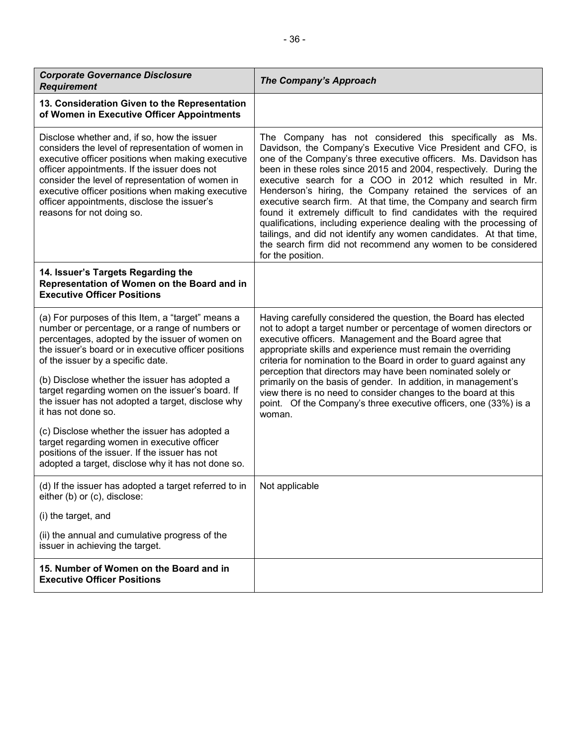| <b>Corporate Governance Disclosure</b><br><b>Requirement</b>                                                                                                                                                                                                                                                                                                                               | <b>The Company's Approach</b>                                                                                                                                                                                                                                                                                                                                                                                                                                                                                                                                                                                                                                                                                                                                         |
|--------------------------------------------------------------------------------------------------------------------------------------------------------------------------------------------------------------------------------------------------------------------------------------------------------------------------------------------------------------------------------------------|-----------------------------------------------------------------------------------------------------------------------------------------------------------------------------------------------------------------------------------------------------------------------------------------------------------------------------------------------------------------------------------------------------------------------------------------------------------------------------------------------------------------------------------------------------------------------------------------------------------------------------------------------------------------------------------------------------------------------------------------------------------------------|
| 13. Consideration Given to the Representation<br>of Women in Executive Officer Appointments                                                                                                                                                                                                                                                                                                |                                                                                                                                                                                                                                                                                                                                                                                                                                                                                                                                                                                                                                                                                                                                                                       |
| Disclose whether and, if so, how the issuer<br>considers the level of representation of women in<br>executive officer positions when making executive<br>officer appointments. If the issuer does not<br>consider the level of representation of women in<br>executive officer positions when making executive<br>officer appointments, disclose the issuer's<br>reasons for not doing so. | The Company has not considered this specifically as Ms.<br>Davidson, the Company's Executive Vice President and CFO, is<br>one of the Company's three executive officers. Ms. Davidson has<br>been in these roles since 2015 and 2004, respectively. During the<br>executive search for a COO in 2012 which resulted in Mr.<br>Henderson's hiring, the Company retained the services of an<br>executive search firm. At that time, the Company and search firm<br>found it extremely difficult to find candidates with the required<br>qualifications, including experience dealing with the processing of<br>tailings, and did not identify any women candidates. At that time,<br>the search firm did not recommend any women to be considered<br>for the position. |
| 14. Issuer's Targets Regarding the<br>Representation of Women on the Board and in<br><b>Executive Officer Positions</b>                                                                                                                                                                                                                                                                    |                                                                                                                                                                                                                                                                                                                                                                                                                                                                                                                                                                                                                                                                                                                                                                       |
| (a) For purposes of this Item, a "target" means a<br>number or percentage, or a range of numbers or<br>percentages, adopted by the issuer of women on<br>the issuer's board or in executive officer positions<br>of the issuer by a specific date.                                                                                                                                         | Having carefully considered the question, the Board has elected<br>not to adopt a target number or percentage of women directors or<br>executive officers. Management and the Board agree that<br>appropriate skills and experience must remain the overriding<br>criteria for nomination to the Board in order to guard against any                                                                                                                                                                                                                                                                                                                                                                                                                                  |
| (b) Disclose whether the issuer has adopted a<br>target regarding women on the issuer's board. If<br>the issuer has not adopted a target, disclose why<br>it has not done so.                                                                                                                                                                                                              | perception that directors may have been nominated solely or<br>primarily on the basis of gender. In addition, in management's<br>view there is no need to consider changes to the board at this<br>point. Of the Company's three executive officers, one (33%) is a<br>woman.                                                                                                                                                                                                                                                                                                                                                                                                                                                                                         |
| (c) Disclose whether the issuer has adopted a<br>target regarding women in executive officer<br>positions of the issuer. If the issuer has not<br>adopted a target, disclose why it has not done so.                                                                                                                                                                                       |                                                                                                                                                                                                                                                                                                                                                                                                                                                                                                                                                                                                                                                                                                                                                                       |
| (d) If the issuer has adopted a target referred to in<br>either (b) or (c), disclose:                                                                                                                                                                                                                                                                                                      | Not applicable                                                                                                                                                                                                                                                                                                                                                                                                                                                                                                                                                                                                                                                                                                                                                        |
| (i) the target, and                                                                                                                                                                                                                                                                                                                                                                        |                                                                                                                                                                                                                                                                                                                                                                                                                                                                                                                                                                                                                                                                                                                                                                       |
| (ii) the annual and cumulative progress of the<br>issuer in achieving the target.                                                                                                                                                                                                                                                                                                          |                                                                                                                                                                                                                                                                                                                                                                                                                                                                                                                                                                                                                                                                                                                                                                       |
| 15. Number of Women on the Board and in<br><b>Executive Officer Positions</b>                                                                                                                                                                                                                                                                                                              |                                                                                                                                                                                                                                                                                                                                                                                                                                                                                                                                                                                                                                                                                                                                                                       |